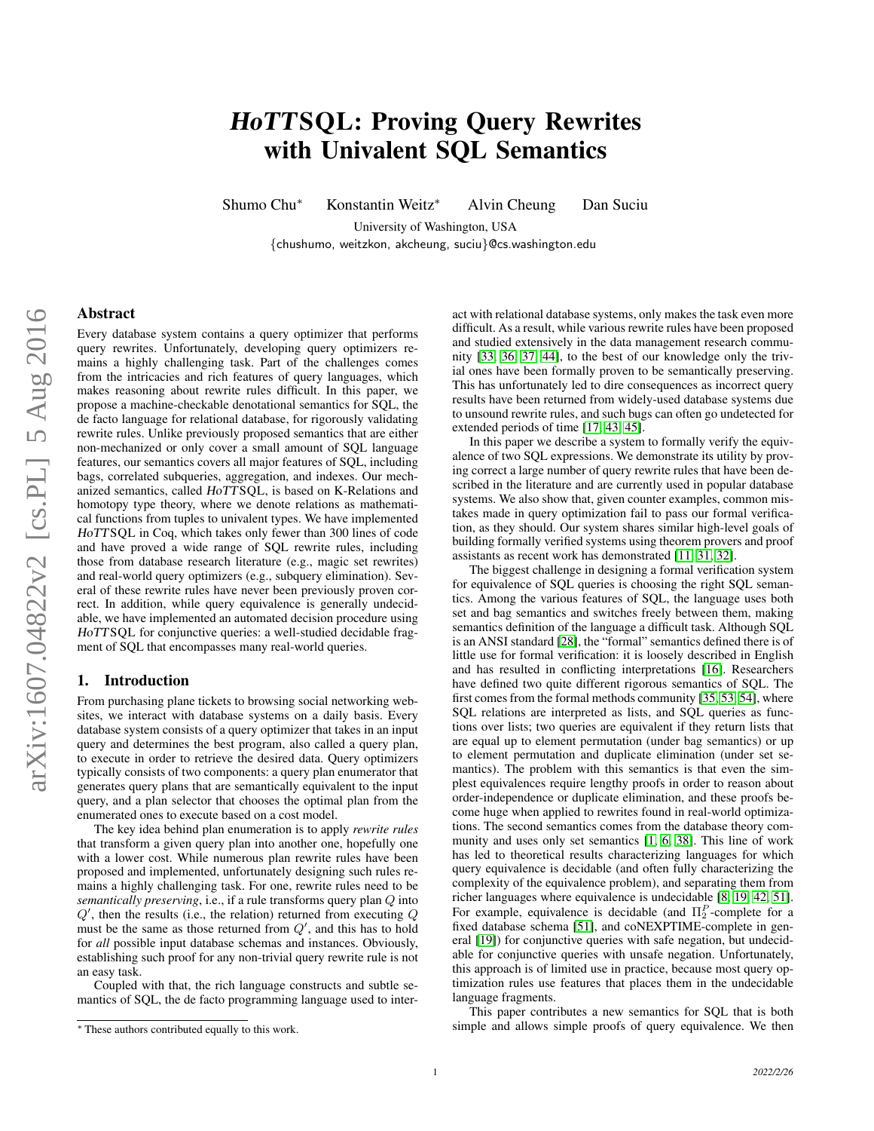# HoTTSQL: Proving Query Rewrites with Univalent SQL Semantics

Shumo Chu<sup>∗</sup> Konstantin Weitz<sup>∗</sup> Alvin Cheung Dan Suciu

University of Washington, USA {chushumo, weitzkon, akcheung, suciu}@cs.washington.edu

## Abstract

Every database system contains a query optimizer that performs query rewrites. Unfortunately, developing query optimizers remains a highly challenging task. Part of the challenges comes from the intricacies and rich features of query languages, which makes reasoning about rewrite rules difficult. In this paper, we propose a machine-checkable denotational semantics for SQL, the de facto language for relational database, for rigorously validating rewrite rules. Unlike previously proposed semantics that are either non-mechanized or only cover a small amount of SQL language features, our semantics covers all major features of SQL, including bags, correlated subqueries, aggregation, and indexes. Our mechanized semantics, called HoTTSQL, is based on K-Relations and homotopy type theory, where we denote relations as mathematical functions from tuples to univalent types. We have implemented HoTTSQL in Coq, which takes only fewer than 300 lines of code and have proved a wide range of SQL rewrite rules, including those from database research literature (e.g., magic set rewrites) and real-world query optimizers (e.g., subquery elimination). Several of these rewrite rules have never been previously proven correct. In addition, while query equivalence is generally undecidable, we have implemented an automated decision procedure using HoTTSQL for conjunctive queries: a well-studied decidable fragment of SQL that encompasses many real-world queries.

## 1. Introduction

From purchasing plane tickets to browsing social networking websites, we interact with database systems on a daily basis. Every database system consists of a query optimizer that takes in an input query and determines the best program, also called a query plan, to execute in order to retrieve the desired data. Query optimizers typically consists of two components: a query plan enumerator that generates query plans that are semantically equivalent to the input query, and a plan selector that chooses the optimal plan from the enumerated ones to execute based on a cost model.

The key idea behind plan enumeration is to apply *rewrite rules* that transform a given query plan into another one, hopefully one with a lower cost. While numerous plan rewrite rules have been proposed and implemented, unfortunately designing such rules remains a highly challenging task. For one, rewrite rules need to be *semantically preserving*, i.e., if a rule transforms query plan Q into  $Q'$ , then the results (i.e., the relation) returned from executing  $Q$ must be the same as those returned from  $Q'$ , and this has to hold for *all* possible input database schemas and instances. Obviously, establishing such proof for any non-trivial query rewrite rule is not an easy task.

Coupled with that, the rich language constructs and subtle semantics of SQL, the de facto programming language used to interact with relational database systems, only makes the task even more difficult. As a result, while various rewrite rules have been proposed and studied extensively in the data management research community [\[33,](#page-12-0) [36,](#page-12-1) [37,](#page-12-2) [44\]](#page-12-3), to the best of our knowledge only the trivial ones have been formally proven to be semantically preserving. This has unfortunately led to dire consequences as incorrect query results have been returned from widely-used database systems due to unsound rewrite rules, and such bugs can often go undetected for extended periods of time [\[17,](#page-12-4) [43,](#page-12-5) [45\]](#page-12-6).

In this paper we describe a system to formally verify the equivalence of two SQL expressions. We demonstrate its utility by proving correct a large number of query rewrite rules that have been described in the literature and are currently used in popular database systems. We also show that, given counter examples, common mistakes made in query optimization fail to pass our formal verification, as they should. Our system shares similar high-level goals of building formally verified systems using theorem provers and proof assistants as recent work has demonstrated [\[11,](#page-12-7) [31,](#page-12-8) [32\]](#page-12-9).

The biggest challenge in designing a formal verification system for equivalence of SQL queries is choosing the right SQL semantics. Among the various features of SQL, the language uses both set and bag semantics and switches freely between them, making semantics definition of the language a difficult task. Although SQL is an ANSI standard [\[28\]](#page-12-10), the "formal" semantics defined there is of little use for formal verification: it is loosely described in English and has resulted in conflicting interpretations [\[16\]](#page-12-11). Researchers have defined two quite different rigorous semantics of SQL. The first comes from the formal methods community [\[35,](#page-12-12) [53,](#page-13-0) [54\]](#page-13-1), where SQL relations are interpreted as lists, and SQL queries as functions over lists; two queries are equivalent if they return lists that are equal up to element permutation (under bag semantics) or up to element permutation and duplicate elimination (under set semantics). The problem with this semantics is that even the simplest equivalences require lengthy proofs in order to reason about order-independence or duplicate elimination, and these proofs become huge when applied to rewrites found in real-world optimizations. The second semantics comes from the database theory community and uses only set semantics [\[1,](#page-12-13) [6,](#page-12-14) [38\]](#page-12-15). This line of work has led to theoretical results characterizing languages for which query equivalence is decidable (and often fully characterizing the complexity of the equivalence problem), and separating them from richer languages where equivalence is undecidable [\[8,](#page-12-16) [19,](#page-12-17) [42,](#page-12-18) [51\]](#page-13-2). For example, equivalence is decidable (and  $\Pi_2^P$ -complete for a fixed database schema [\[51\]](#page-13-2), and coNEXPTIME-complete in general [\[19\]](#page-12-17)) for conjunctive queries with safe negation, but undecidable for conjunctive queries with unsafe negation. Unfortunately, this approach is of limited use in practice, because most query optimization rules use features that places them in the undecidable language fragments.

This paper contributes a new semantics for SQL that is both simple and allows simple proofs of query equivalence. We then

<sup>∗</sup> These authors contributed equally to this work.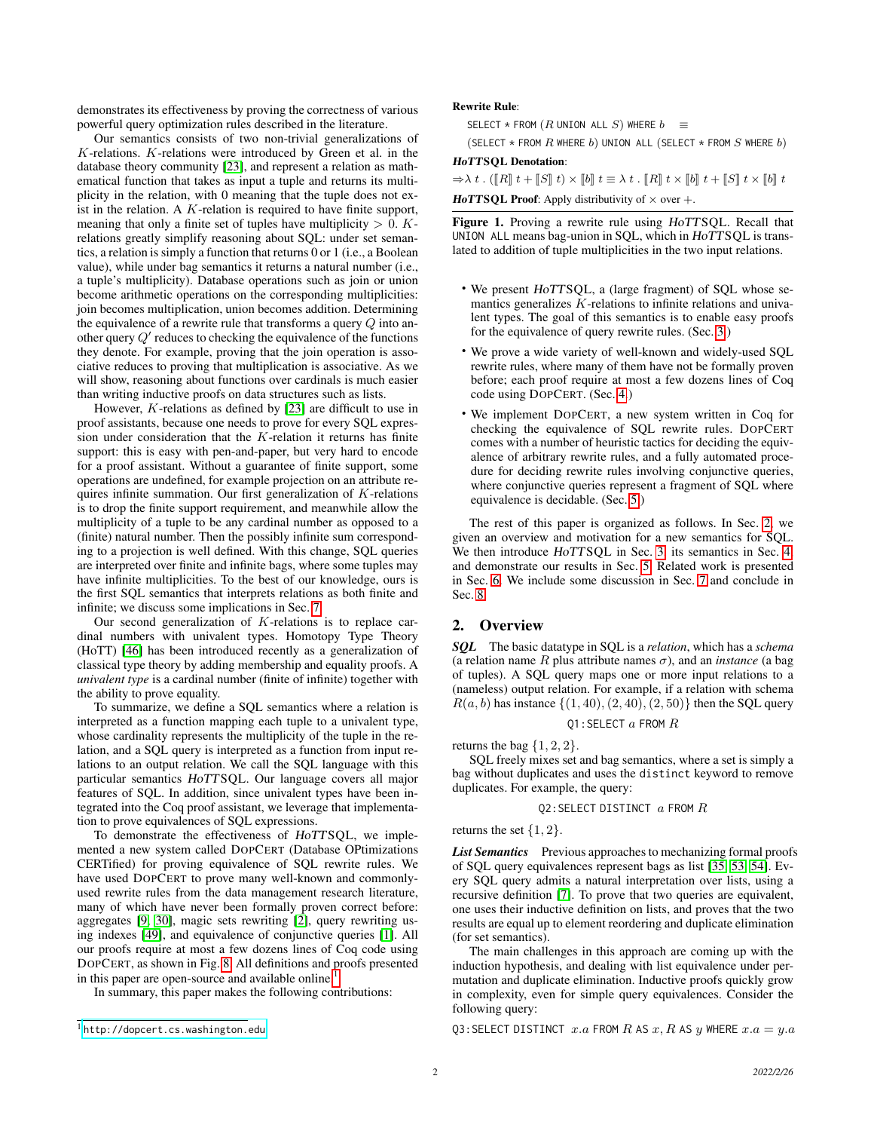demonstrates its effectiveness by proving the correctness of various powerful query optimization rules described in the literature.

Our semantics consists of two non-trivial generalizations of K-relations. K-relations were introduced by Green et al. in the database theory community [\[23\]](#page-12-19), and represent a relation as mathematical function that takes as input a tuple and returns its multiplicity in the relation, with 0 meaning that the tuple does not exist in the relation. A  $K$ -relation is required to have finite support, meaning that only a finite set of tuples have multiplicity  $> 0$ . Krelations greatly simplify reasoning about SQL: under set semantics, a relation is simply a function that returns 0 or 1 (i.e., a Boolean value), while under bag semantics it returns a natural number (i.e., a tuple's multiplicity). Database operations such as join or union become arithmetic operations on the corresponding multiplicities: join becomes multiplication, union becomes addition. Determining the equivalence of a rewrite rule that transforms a query Q into another query  $Q'$  reduces to checking the equivalence of the functions they denote. For example, proving that the join operation is associative reduces to proving that multiplication is associative. As we will show, reasoning about functions over cardinals is much easier than writing inductive proofs on data structures such as lists.

However, K-relations as defined by [\[23\]](#page-12-19) are difficult to use in proof assistants, because one needs to prove for every SQL expression under consideration that the K-relation it returns has finite support: this is easy with pen-and-paper, but very hard to encode for a proof assistant. Without a guarantee of finite support, some operations are undefined, for example projection on an attribute requires infinite summation. Our first generalization of K-relations is to drop the finite support requirement, and meanwhile allow the multiplicity of a tuple to be any cardinal number as opposed to a (finite) natural number. Then the possibly infinite sum corresponding to a projection is well defined. With this change, SQL queries are interpreted over finite and infinite bags, where some tuples may have infinite multiplicities. To the best of our knowledge, ours is the first SQL semantics that interprets relations as both finite and infinite; we discuss some implications in Sec. [7.](#page-11-0)

Our second generalization of K-relations is to replace cardinal numbers with univalent types. Homotopy Type Theory (HoTT) [\[46\]](#page-12-20) has been introduced recently as a generalization of classical type theory by adding membership and equality proofs. A *univalent type* is a cardinal number (finite of infinite) together with the ability to prove equality.

To summarize, we define a SQL semantics where a relation is interpreted as a function mapping each tuple to a univalent type, whose cardinality represents the multiplicity of the tuple in the relation, and a SQL query is interpreted as a function from input relations to an output relation. We call the SQL language with this particular semantics HoTTSQL. Our language covers all major features of SQL. In addition, since univalent types have been integrated into the Coq proof assistant, we leverage that implementation to prove equivalences of SQL expressions.

To demonstrate the effectiveness of HoTTSQL, we implemented a new system called DOPCERT (Database OPtimizations CERTified) for proving equivalence of SQL rewrite rules. We have used DOPCERT to prove many well-known and commonlyused rewrite rules from the data management research literature, many of which have never been formally proven correct before: aggregates [\[9,](#page-12-21) [30\]](#page-12-22), magic sets rewriting [\[2\]](#page-12-23), query rewriting using indexes [\[49\]](#page-13-3), and equivalence of conjunctive queries [\[1\]](#page-12-13). All our proofs require at most a few dozens lines of Coq code using DOPCERT, as shown in Fig. [8.](#page-8-0) All definitions and proofs presented in this paper are open-source and available online.

In summary, this paper makes the following contributions:

#### Rewrite Rule:

SELECT \* FROM  $(R$  UNION ALL  $S$ ) WHERE  $b \equiv$ 

(SELECT  $*$  FROM  $R$  WHERE  $b$ ) UNION ALL (SELECT  $*$  FROM  $S$  WHERE  $b$ ) HoTTSQL Denotation:

 $\Rightarrow$   $\lambda t$ . ( $\llbracket R \rrbracket t + \llbracket S \rrbracket t$ )  $\times \llbracket b \rrbracket t \equiv \lambda t$ .  $\llbracket R \rrbracket t \times \llbracket b \rrbracket t + \llbracket S \rrbracket t \times \llbracket b \rrbracket t$ 

**HoTTSQL Proof:** Apply distributivity of  $\times$  over  $+$ .

<span id="page-1-2"></span>Figure 1. Proving a rewrite rule using HoTTSQL. Recall that UNION ALL means bag-union in SQL, which in HoTTSQL is translated to addition of tuple multiplicities in the two input relations.

- We present HoTTSQL, a (large fragment) of SQL whose semantics generalizes  $K$ -relations to infinite relations and univalent types. The goal of this semantics is to enable easy proofs for the equivalence of query rewrite rules. (Sec. [3.](#page-2-0))
- We prove a wide variety of well-known and widely-used SQL rewrite rules, where many of them have not be formally proven before; each proof require at most a few dozens lines of Coq code using DOPCERT. (Sec. [4.](#page-5-0))
- We implement DOPCERT, a new system written in Coq for checking the equivalence of SQL rewrite rules. DOPCERT comes with a number of heuristic tactics for deciding the equivalence of arbitrary rewrite rules, and a fully automated procedure for deciding rewrite rules involving conjunctive queries, where conjunctive queries represent a fragment of SQL where equivalence is decidable. (Sec. [5.](#page-7-0))

The rest of this paper is organized as follows. In Sec. [2,](#page-1-1) we given an overview and motivation for a new semantics for SQL. We then introduce HoTTSQL in Sec. [3,](#page-2-0) its semantics in Sec. [4,](#page-5-0) and demonstrate our results in Sec. [5.](#page-7-0) Related work is presented in Sec. [6.](#page-10-0) We include some discussion in Sec. [7](#page-11-0) and conclude in Sec. [8.](#page-11-1)

## <span id="page-1-1"></span>2. Overview

*SQL* The basic datatype in SQL is a *relation*, which has a *schema* (a relation name R plus attribute names  $\sigma$ ), and an *instance* (a bag of tuples). A SQL query maps one or more input relations to a (nameless) output relation. For example, if a relation with schema  $R(a, b)$  has instance  $\{(1, 40), (2, 40), (2, 50)\}$  then the SQL query

$$
\mathtt{Q1:SELECT}\ a\ \mathtt{FROM}\ R
$$

returns the bag  $\{1, 2, 2\}$ .

SQL freely mixes set and bag semantics, where a set is simply a bag without duplicates and uses the distinct keyword to remove duplicates. For example, the query:

#### Q2:SELECT DISTINCT a FROM R

returns the set  $\{1, 2\}$ .

List Semantics Previous approaches to mechanizing formal proofs of SQL query equivalences represent bags as list [\[35,](#page-12-12) [53,](#page-13-0) [54\]](#page-13-1). Every SQL query admits a natural interpretation over lists, using a recursive definition [\[7\]](#page-12-24). To prove that two queries are equivalent, one uses their inductive definition on lists, and proves that the two results are equal up to element reordering and duplicate elimination (for set semantics).

The main challenges in this approach are coming up with the induction hypothesis, and dealing with list equivalence under permutation and duplicate elimination. Inductive proofs quickly grow in complexity, even for simple query equivalences. Consider the following query:

Q3: SELECT DISTINCT  $x.a$  FROM R AS  $x, R$  AS  $y$  WHERE  $x.a = y.a$ 

<span id="page-1-0"></span><sup>1</sup> <http://dopcert.cs.washington.edu>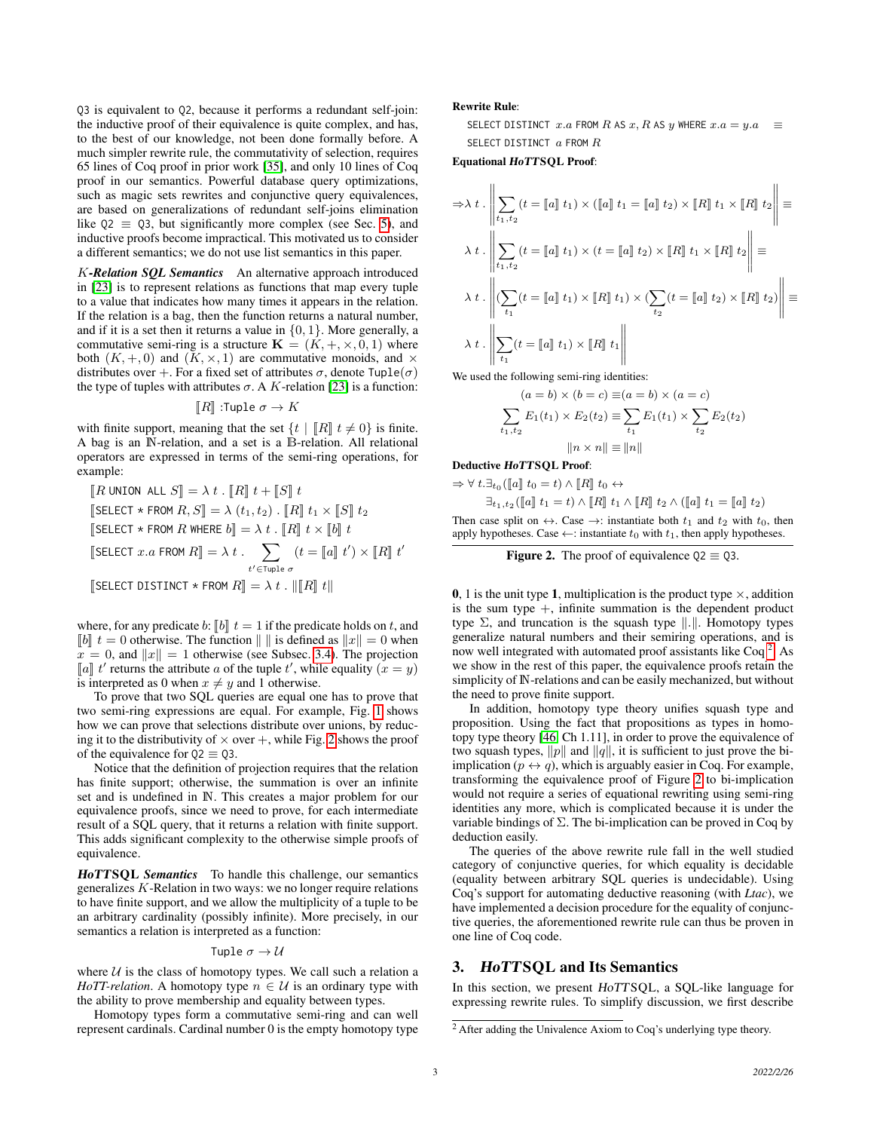Q3 is equivalent to Q2, because it performs a redundant self-join: the inductive proof of their equivalence is quite complex, and has, to the best of our knowledge, not been done formally before. A much simpler rewrite rule, the commutativity of selection, requires 65 lines of Coq proof in prior work [\[35\]](#page-12-12), and only 10 lines of Coq proof in our semantics. Powerful database query optimizations, such as magic sets rewrites and conjunctive query equivalences, are based on generalizations of redundant self-joins elimination like  $Q2 \equiv Q3$ , but significantly more complex (see Sec. [5\)](#page-7-0), and inductive proofs become impractical. This motivated us to consider a different semantics; we do not use list semantics in this paper.

K*-Relation SQL Semantics* An alternative approach introduced in [\[23\]](#page-12-19) is to represent relations as functions that map every tuple to a value that indicates how many times it appears in the relation. If the relation is a bag, then the function returns a natural number, and if it is a set then it returns a value in  $\{0, 1\}$ . More generally, a commutative semi-ring is a structure  $\mathbf{K} = (K, +, \times, 0, 1)$  where both  $(K, +, 0)$  and  $(K, \times, 1)$  are commutative monoids, and  $\times$ distributes over +. For a fixed set of attributes  $\sigma$ , denote  $Tuple(\sigma)$ the type of tuples with attributes  $\sigma$ . A K-relation [\[23\]](#page-12-19) is a function:

$$
[\![R]\!]:\!\mathsf{Tuple}\ \sigma\to K
$$

with finite support, meaning that the set  $\{t \mid \llbracket R \rrbracket \ t \neq 0\}$  is finite. A bag is an N-relation, and a set is a B-relation. All relational operators are expressed in terms of the semi-ring operations, for example:

$$
\begin{aligned} &[\![R\text{ UNION ALL } S]\!] = \lambda \; t \cdot [\![R]\!] \; t + [\![S]\!] \; t \\ &[\!\text{SELECT } \star \text{ FROM } R, S]\!] = \lambda \; (t_1, t_2) \cdot [\![R]\!] \; t_1 \times [\![S]\!] \; t_2 \\ &[\!\text{SELECT } \star \text{ FROM } R \text{ WHERE } b]\!] = \lambda \; t \cdot [\![R]\!] \; t \times [\![b]\!] \; t \\ &[\!\text{SELECT } x.a \text{ FROM } R]\!] = \lambda \; t \cdot \sum_{t' \in \text{Tuple } \sigma} (t = [\![a]\!] \; t') \times [\![R]\!] \; t' \\ &[\!\text{SELECT DISTINCT } \star \text{ FROM } R]\!] = \lambda \; t \cdot [\![R]\!] \; t ||\!\!| \end{aligned}
$$

where, for any predicate b:  $[b]$  t = 1 if the predicate holds on t, and  $\llbracket b \rrbracket t = 0$  otherwise. The function  $\llbracket \cdot \rrbracket$  is defined as  $\llbracket x \rrbracket = 0$  when  $x = 0$ , and  $||x|| = 1$  otherwise (see Subsec. [3.4\)](#page-4-0). The projection [a] t' returns the attribute a of the tuple t', while equality  $(x = y)$ <br>is interpreted as 0 when  $x \neq y$  and 1 otherwise is interpreted as 0 when  $x \neq y$  and 1 otherwise.

To prove that two SQL queries are equal one has to prove that two semi-ring expressions are equal. For example, Fig. [1](#page-1-2) shows how we can prove that selections distribute over unions, by reducing it to the distributivity of  $\times$  over  $+$ , while Fig. [2](#page-2-1) shows the proof of the equivalence for  $Q2 \equiv Q3$ .

Notice that the definition of projection requires that the relation has finite support; otherwise, the summation is over an infinite set and is undefined in N. This creates a major problem for our equivalence proofs, since we need to prove, for each intermediate result of a SQL query, that it returns a relation with finite support. This adds significant complexity to the otherwise simple proofs of equivalence.

HoTTSQL *Semantics* To handle this challenge, our semantics generalizes K-Relation in two ways: we no longer require relations to have finite support, and we allow the multiplicity of a tuple to be an arbitrary cardinality (possibly infinite). More precisely, in our semantics a relation is interpreted as a function:

#### Tuple  $\sigma \rightarrow \mathcal{U}$

where  $U$  is the class of homotopy types. We call such a relation a *HoTT-relation*. A homotopy type  $n \in \mathcal{U}$  is an ordinary type with the ability to prove membership and equality between types.

Homotopy types form a commutative semi-ring and can well represent cardinals. Cardinal number 0 is the empty homotopy type Rewrite Rule:

SELECT DISTINCT  $x.a$  FROM R AS  $x, R$  AS  $y$  WHERE  $x.a = y.a \equiv$ SELECT DISTINCT  $a$  FROM  $R$ 

Equational HoTTSQL Proof:

$$
\Rightarrow \lambda t \cdot \left\| \sum_{t_1, t_2} (t = \llbracket a \rrbracket t_1) \times (\llbracket a \rrbracket t_1 = \llbracket a \rrbracket t_2) \times \llbracket R \rrbracket t_1 \times \llbracket R \rrbracket t_2 \right\| \equiv
$$

$$
\lambda t \cdot \left\| \sum_{t_1, t_2} (t = \llbracket a \rrbracket t_1) \times (t = \llbracket a \rrbracket t_2) \times \llbracket R \rrbracket t_1 \times \llbracket R \rrbracket t_2 \right\| \equiv
$$

$$
\lambda t \cdot \left\| (\sum_{t_1} (t = \llbracket a \rrbracket t_1) \times \llbracket R \rrbracket t_1) \times (\sum_{t_2} (t = \llbracket a \rrbracket t_2) \times \llbracket R \rrbracket t_2) \right\| \equiv
$$

$$
\lambda t \cdot \left\| \sum_{t_1} (t = \llbracket a \rrbracket t_1) \times \llbracket R \rrbracket t_1 \right\|
$$

We used the following semi-ring identities:

$$
(a = b) \times (b = c) \equiv (a = b) \times (a = c)
$$

$$
\sum_{t_1, t_2} E_1(t_1) \times E_2(t_2) \equiv \sum_{t_1} E_1(t_1) \times \sum_{t_2} E_2(t_2)
$$

$$
||n \times n|| \equiv ||n||
$$

Deductive HoTTSQL Proof:

$$
\Rightarrow \forall t. \exists_{t_0} (\llbracket a \rrbracket t_0 = t) \wedge \llbracket R \rrbracket t_0 \leftrightarrow
$$

 $\exists_{t_1,t_2} (\llbracket a \rrbracket~t_1 = t) \wedge \llbracket R \rrbracket~t_1 \wedge \llbracket R \rrbracket~t_2 \wedge (\llbracket a \rrbracket~t_1 = \llbracket a \rrbracket~t_2)$ 

Then case split on  $\leftrightarrow$ . Case  $\rightarrow$ : instantiate both  $t_1$  and  $t_2$  with  $t_0$ , then apply hypotheses. Case  $\leftarrow$ : instantiate  $t_0$  with  $t_1$ , then apply hypotheses.

<span id="page-2-1"></span>**Figure 2.** The proof of equivalence 
$$
Q2 \equiv Q3
$$
.

0, 1 is the unit type 1, multiplication is the product type  $\times$ , addition is the sum type  $+$ , infinite summation is the dependent product type  $\Sigma$ , and truncation is the squash type  $\Vert . \Vert$ . Homotopy types generalize natural numbers and their semiring operations, and is now well integrated with automated proof assistants like Coq<sup>[2](#page-2-2)</sup>. As we show in the rest of this paper, the equivalence proofs retain the simplicity of N-relations and can be easily mechanized, but without the need to prove finite support.

In addition, homotopy type theory unifies squash type and proposition. Using the fact that propositions as types in homotopy type theory [\[46,](#page-12-20) Ch 1.11], in order to prove the equivalence of two squash types,  $||p||$  and  $||q||$ , it is sufficient to just prove the biimplication ( $p \leftrightarrow q$ ), which is arguably easier in Coq. For example, transforming the equivalence proof of Figure [2](#page-2-1) to bi-implication would not require a series of equational rewriting using semi-ring identities any more, which is complicated because it is under the variable bindings of  $\Sigma$ . The bi-implication can be proved in Coq by deduction easily.

The queries of the above rewrite rule fall in the well studied category of conjunctive queries, for which equality is decidable (equality between arbitrary SQL queries is undecidable). Using Coq's support for automating deductive reasoning (with *Ltac*), we have implemented a decision procedure for the equality of conjunctive queries, the aforementioned rewrite rule can thus be proven in one line of Coq code.

## <span id="page-2-0"></span>3. HoTTSQL and Its Semantics

In this section, we present HoTTSQL, a SQL-like language for expressing rewrite rules. To simplify discussion, we first describe

<span id="page-2-2"></span><sup>&</sup>lt;sup>2</sup> After adding the Univalence Axiom to Coq's underlying type theory.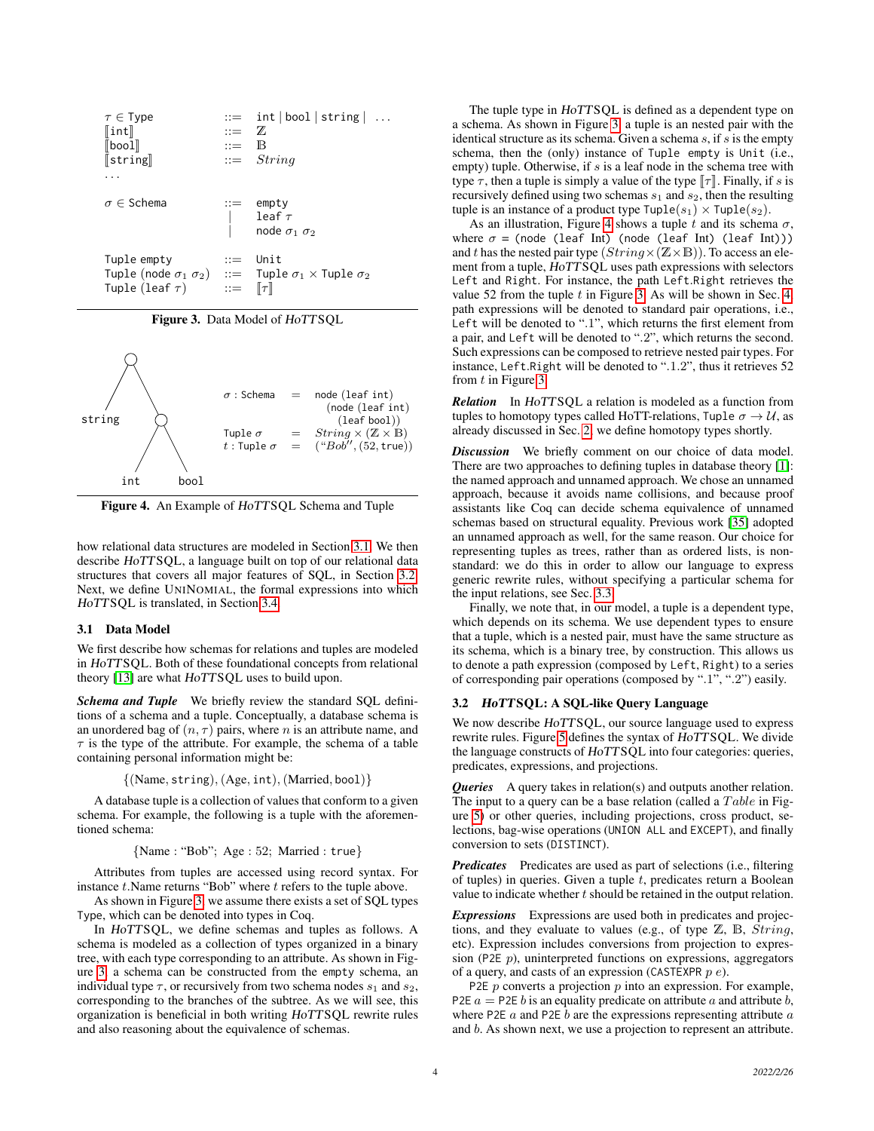| $\tau \in \mathsf{Type}$<br>$\ $ int $\ $<br>$\llbracket$ boo $1\rrbracket$<br>$\left[\mathsf{string}\right]$ | $\mathbb{R}^2 = \mathbb{Z}$<br>$ ::=$ $\mathbb{B}$ | $ ::=$ int   bool   string  <br>$ ::=$ String                                                              |
|---------------------------------------------------------------------------------------------------------------|----------------------------------------------------|------------------------------------------------------------------------------------------------------------|
| $\sigma \in$ Schema                                                                                           |                                                    | $ ::= \emptyset$<br>$\begin{vmatrix} \text{leaf } \tau \\ \text{node } \sigma_1 \\ \sigma_2 \end{vmatrix}$ |
| Tuple empty<br>Tuple (leaf $\tau$ ) ::= $\lbrack\lbrack\tau\rbrack\rbrack$                                    | $\cdots$                                           | Unit<br>Tuple (node $\sigma_1 \sigma_2$ ) ::= Tuple $\sigma_1 \times$ Tuple $\sigma_2$                     |

<span id="page-3-2"></span>Figure 3. Data Model of HoTTSQL



<span id="page-3-3"></span>Figure 4. An Example of HoTTSQL Schema and Tuple

how relational data structures are modeled in Section [3.1.](#page-3-0) We then describe HoTTSQL, a language built on top of our relational data structures that covers all major features of SQL, in Section [3.2.](#page-3-1) Next, we define UNINOMIAL, the formal expressions into which HoTTSQL is translated, in Section [3.4.](#page-4-0)

#### <span id="page-3-0"></span>3.1 Data Model

We first describe how schemas for relations and tuples are modeled in HoTTSQL. Both of these foundational concepts from relational theory [\[13\]](#page-12-25) are what HoTTSQL uses to build upon.

*Schema and Tuple* We briefly review the standard SQL definitions of a schema and a tuple. Conceptually, a database schema is an unordered bag of  $(n, \tau)$  pairs, where n is an attribute name, and  $\tau$  is the type of the attribute. For example, the schema of a table containing personal information might be:

 $\{(\text{Name}, \text{string}), (\text{Age}, \text{int}), (\text{Married}, \text{bool})\}$ 

A database tuple is a collection of values that conform to a given schema. For example, the following is a tuple with the aforementioned schema:

{Name : "Bob"; Age : 52; Married : true}

Attributes from tuples are accessed using record syntax. For instance  $t$ . Name returns "Bob" where  $t$  refers to the tuple above.

As shown in Figure [3,](#page-3-2) we assume there exists a set of SQL types Type, which can be denoted into types in Coq.

In HoTTSQL, we define schemas and tuples as follows. A schema is modeled as a collection of types organized in a binary tree, with each type corresponding to an attribute. As shown in Figure [3,](#page-3-2) a schema can be constructed from the empty schema, an individual type  $\tau$ , or recursively from two schema nodes  $s_1$  and  $s_2$ , corresponding to the branches of the subtree. As we will see, this organization is beneficial in both writing HoTTSQL rewrite rules and also reasoning about the equivalence of schemas.

The tuple type in HoTTSQL is defined as a dependent type on a schema. As shown in Figure [3,](#page-3-2) a tuple is an nested pair with the identical structure as its schema. Given a schema  $s$ , if  $s$  is the empty schema, then the (only) instance of Tuple empty is Unit (i.e., empty) tuple. Otherwise, if s is a leaf node in the schema tree with type  $\tau$ , then a tuple is simply a value of the type  $\llbracket \tau \rrbracket$ . Finally, if s is recursively defined using two schemas  $s_1$  and  $s_2$ , then the resulting tuple is an instance of a product type  $\text{Tuple}(s_1) \times \text{Tuple}(s_2)$ .

As an illustration, Figure [4](#page-3-3) shows a tuple t and its schema  $\sigma$ , where  $\sigma$  = (node (leaf Int) (node (leaf Int) (leaf Int))) and t has the nested pair type  $(String \times (\mathbb{Z} \times \mathbb{B}))$ . To access an element from a tuple, HoTTSQL uses path expressions with selectors Left and Right. For instance, the path Left.Right retrieves the value 52 from the tuple  $t$  in Figure [3.](#page-3-2) As will be shown in Sec. [4,](#page-5-0) path expressions will be denoted to standard pair operations, i.e., Left will be denoted to ".1", which returns the first element from a pair, and Left will be denoted to ".2", which returns the second. Such expressions can be composed to retrieve nested pair types. For instance, Left.Right will be denoted to ".1.2", thus it retrieves 52 from t in Figure [3.](#page-3-2)

*Relation* In HoTTSQL a relation is modeled as a function from tuples to homotopy types called HoTT-relations, Tuple  $\sigma \rightarrow \mathcal{U}$ , as already discussed in Sec. [2;](#page-1-1) we define homotopy types shortly.

*Discussion* We briefly comment on our choice of data model. There are two approaches to defining tuples in database theory [\[1\]](#page-12-13): the named approach and unnamed approach. We chose an unnamed approach, because it avoids name collisions, and because proof assistants like Coq can decide schema equivalence of unnamed schemas based on structural equality. Previous work [\[35\]](#page-12-12) adopted an unnamed approach as well, for the same reason. Our choice for representing tuples as trees, rather than as ordered lists, is nonstandard: we do this in order to allow our language to express generic rewrite rules, without specifying a particular schema for the input relations, see Sec. [3.3.](#page-4-1)

Finally, we note that, in our model, a tuple is a dependent type, which depends on its schema. We use dependent types to ensure that a tuple, which is a nested pair, must have the same structure as its schema, which is a binary tree, by construction. This allows us to denote a path expression (composed by Left, Right) to a series of corresponding pair operations (composed by ".1", ".2") easily.

#### <span id="page-3-1"></span>3.2 HoTTSQL: A SQL-like Query Language

We now describe HoTTSQL, our source language used to express rewrite rules. Figure [5](#page-4-2) defines the syntax of HoTTSQL. We divide the language constructs of HoTTSQL into four categories: queries, predicates, expressions, and projections.

*Queries* A query takes in relation(s) and outputs another relation. The input to a query can be a base relation (called a  $Table$  in Figure [5\)](#page-4-2) or other queries, including projections, cross product, selections, bag-wise operations (UNION ALL and EXCEPT), and finally conversion to sets (DISTINCT).

*Predicates* Predicates are used as part of selections (i.e., filtering of tuples) in queries. Given a tuple  $t$ , predicates return a Boolean value to indicate whether  $t$  should be retained in the output relation.

*Expressions* Expressions are used both in predicates and projections, and they evaluate to values (e.g., of type  $\mathbb{Z}$ ,  $\mathbb{B}$ ,  $String$ , etc). Expression includes conversions from projection to expression (P2E  $p$ ), uninterpreted functions on expressions, aggregators of a query, and casts of an expression (CASTEXPR  $p e$ ).

P2E  $p$  converts a projection  $p$  into an expression. For example, P2E  $a =$  P2E b is an equality predicate on attribute a and attribute b, where P2E  $a$  and P2E  $b$  are the expressions representing attribute  $a$ and b. As shown next, we use a projection to represent an attribute.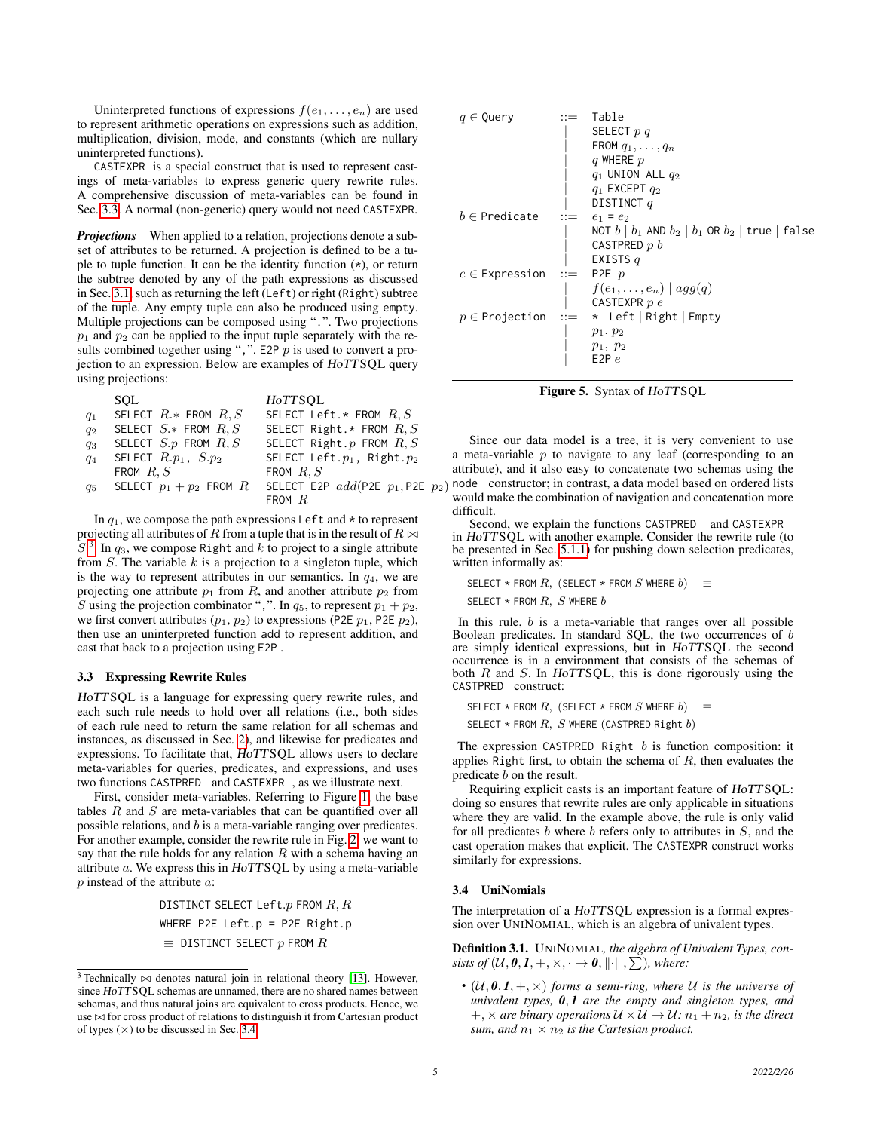Uninterpreted functions of expressions  $f(e_1, \ldots, e_n)$  are used to represent arithmetic operations on expressions such as addition, multiplication, division, mode, and constants (which are nullary uninterpreted functions).

CASTEXPR is a special construct that is used to represent castings of meta-variables to express generic query rewrite rules. A comprehensive discussion of meta-variables can be found in Sec. [3.3.](#page-4-1) A normal (non-generic) query would not need CASTEXPR.

*Projections* When applied to a relation, projections denote a subset of attributes to be returned. A projection is defined to be a tuple to tuple function. It can be the identity function (\*), or return the subtree denoted by any of the path expressions as discussed in Sec. [3.1,](#page-3-0) such as returning the left (Left) or right (Right) subtree of the tuple. Any empty tuple can also be produced using empty. Multiple projections can be composed using ".". Two projections  $p_1$  and  $p_2$  can be applied to the input tuple separately with the results combined together using ",". E2P  $p$  is used to convert a projection to an expression. Below are examples of HoTTSQL query using projections:

|         | <b>SOL</b>                | H0TTSQL                            |
|---------|---------------------------|------------------------------------|
| $q_1$   | SELECT $R.*$ FROM $R.S$   | SELECT Left.* FROM $R, S$          |
| $q_2$   | SELECT $S.*$ FROM $R, S$  | SELECT Right.* FROM $R, S$         |
| $q_3$   | SELECT $S.p$ FROM $R, S$  | SELECT Right.p FROM $R, S$         |
| $q_4$   | SELECT $R.p_1$ , $S.p_2$  | SELECT Left. $p_1$ , Right. $p_2$  |
|         | FROM $R, S$               | FROM $R, S$                        |
| $q_{5}$ | SELECT $p_1 + p_2$ FROM R | SELECT E2P $add(P2E p_1, P2E p_2)$ |
|         |                           | FROM $R$                           |
|         |                           |                                    |

In  $q_1$ , we compose the path expressions Left and  $\star$  to represent projecting all attributes of R from a tuple that is in the result of  $R \bowtie$  $S<sup>3</sup>$  $S<sup>3</sup>$  $S<sup>3</sup>$ . In  $q_3$ , we compose Right and k to project to a single attribute from  $S$ . The variable  $k$  is a projection to a singleton tuple, which is the way to represent attributes in our semantics. In  $q_4$ , we are projecting one attribute  $p_1$  from R, and another attribute  $p_2$  from S using the projection combinator ",". In  $q_5$ , to represent  $p_1 + p_2$ , we first convert attributes  $(p_1, p_2)$  to expressions (P2E  $p_1$ , P2E  $p_2$ ), then use an uninterpreted function add to represent addition, and cast that back to a projection using E2P .

#### <span id="page-4-1"></span>3.3 Expressing Rewrite Rules

HoTTSQL is a language for expressing query rewrite rules, and each such rule needs to hold over all relations (i.e., both sides of each rule need to return the same relation for all schemas and instances, as discussed in Sec. [2\)](#page-1-1), and likewise for predicates and expressions. To facilitate that, HoTTSQL allows users to declare meta-variables for queries, predicates, and expressions, and uses two functions CASTPRED and CASTEXPR , as we illustrate next.

First, consider meta-variables. Referring to Figure [1,](#page-1-2) the base tables  $R$  and  $S$  are meta-variables that can be quantified over all possible relations, and b is a meta-variable ranging over predicates. For another example, consider the rewrite rule in Fig. [2:](#page-2-1) we want to say that the rule holds for any relation  $R$  with a schema having an attribute a. We express this in HoTTSQL by using a meta-variable p instead of the attribute a:

> DISTINCT SELECT Left. $p$  FROM  $R, R$ WHERE P2E Left.p = P2E Right.p  $\equiv$  DISTINCT SELECT  $p$  FROM  $R$



<span id="page-4-2"></span>Figure 5. Syntax of HoTTSQL

Since our data model is a tree, it is very convenient to use a meta-variable  $p$  to navigate to any leaf (corresponding to an attribute), and it also easy to concatenate two schemas using the  $h_2$ ) node constructor; in contrast, a data model based on ordered lists would make the combination of navigation and concatenation more difficult.

Second, we explain the functions CASTPRED and CASTEXPR in HoTTSQL with another example. Consider the rewrite rule (to be presented in Sec. [5.1.1\)](#page-8-1) for pushing down selection predicates, written informally as:

SELECT \* FROM  $R$ , (SELECT \* FROM  $S$  where  $b$ )  $\equiv$ SELECT  $*$  FROM  $R, S$  where  $b$ 

In this rule,  $b$  is a meta-variable that ranges over all possible Boolean predicates. In standard SQL, the two occurrences of b are simply identical expressions, but in HoTTSQL the second occurrence is in a environment that consists of the schemas of both  $R$  and  $S$ . In HoTTSQL, this is done rigorously using the CASTPRED construct:

SELECT \* FROM  $R$ , (SELECT \* FROM  $S$  where  $b$ )  $\equiv$ 

SELECT  $*$  FROM  $R$ ,  $S$  WHERE (CASTPRED Right  $b$ )

The expression CASTPRED Right  $b$  is function composition: it applies Right first, to obtain the schema of  $R$ , then evaluates the predicate b on the result.

Requiring explicit casts is an important feature of HoTTSQL: doing so ensures that rewrite rules are only applicable in situations where they are valid. In the example above, the rule is only valid for all predicates  $b$  where  $b$  refers only to attributes in  $S$ , and the cast operation makes that explicit. The CASTEXPR construct works similarly for expressions.

#### <span id="page-4-0"></span>3.4 UniNomials

The interpretation of a HoTTSQL expression is a formal expression over UNINOMIAL, which is an algebra of univalent types.

Definition 3.1. UNINOMIAL*, the algebra of Univalent Types, consists of*  $(U, 0, I, +, \times, \cdot \to 0, \|\cdot\|, \sum)$ *, where:* 

•  $(U, 0, I, +, \times)$  *forms a semi-ring, where* U *is the universe of univalent types, 0*, *1 are the empty and singleton types, and*  $+$ ,  $\times$  *are binary operations*  $U \times U \rightarrow U$ :  $n_1 + n_2$ *, is the direct sum, and*  $n_1 \times n_2$  *is the Cartesian product.* 

<span id="page-4-3"></span> $3$  Technically  $\bowtie$  denotes natural join in relational theory [\[13\]](#page-12-25). However, since HoTTSQL schemas are unnamed, there are no shared names between schemas, and thus natural joins are equivalent to cross products. Hence, we use  $\bowtie$  for cross product of relations to distinguish it from Cartesian product of types  $(\times)$  to be discussed in Sec. [3.4.](#page-4-0)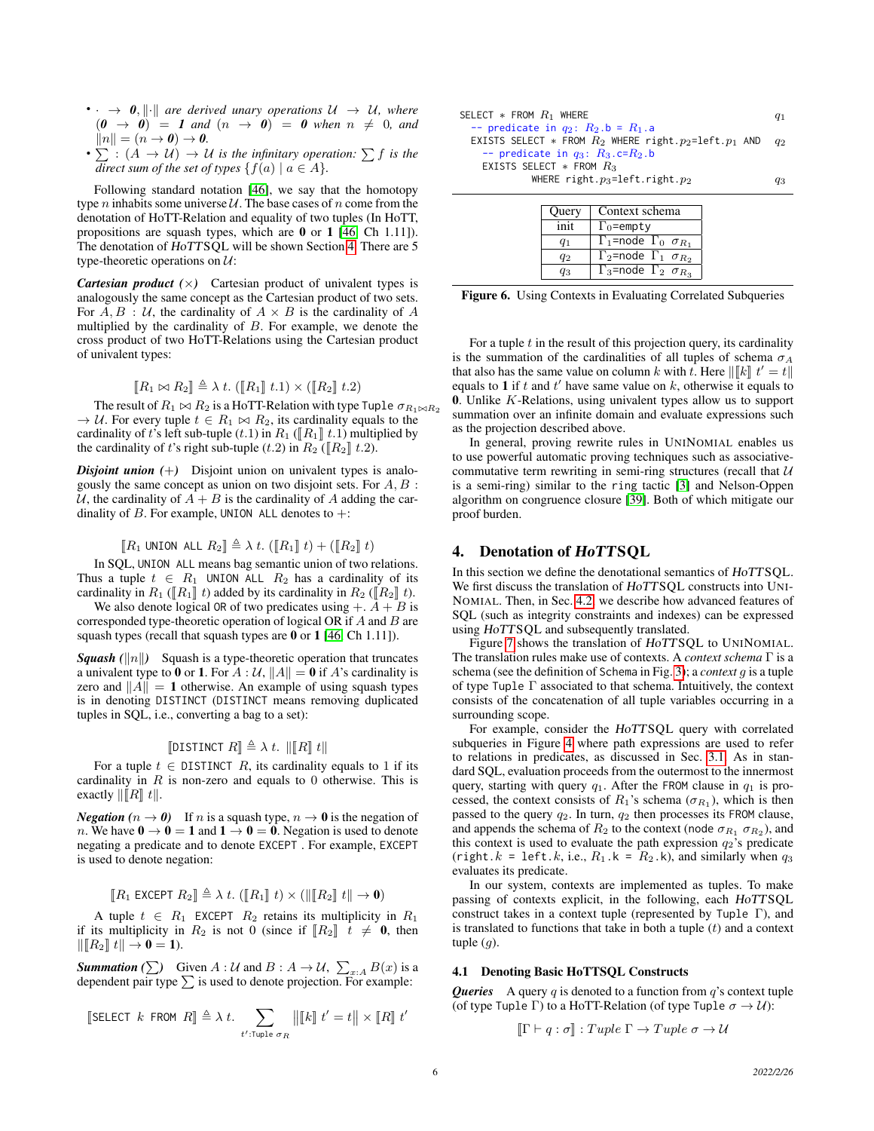- $\cdot \cdot \rightarrow 0$ ,  $\|\cdot\|$  *are derived unary operations*  $U \rightarrow U$ *, where*  $(0 \rightarrow 0)$  = 1 and  $(n \rightarrow 0)$  = 0 when  $n \neq 0$ , and  $||n|| = (n \rightarrow 0) \rightarrow 0.$
- $\sum$  :  $(A \rightarrow U) \rightarrow U$  *is the infinitary operation:*  $\sum f$  *is the direct sum of the set of types*  $\{f(a) | a \in A\}$ *.*

Following standard notation [\[46\]](#page-12-20), we say that the homotopy type *n* inhabits some universe  $U$ . The base cases of *n* come from the denotation of HoTT-Relation and equality of two tuples (In HoTT, propositions are squash types, which are 0 or 1 [\[46,](#page-12-20) Ch 1.11]). The denotation of HoTTSQL will be shown Section [4.](#page-5-0) There are 5 type-theoretic operations on  $U$ :

*Cartesian product*  $(\times)$  Cartesian product of univalent types is analogously the same concept as the Cartesian product of two sets. For  $A, B$ : U, the cardinality of  $A \times B$  is the cardinality of A multiplied by the cardinality of  $B$ . For example, we denote the cross product of two HoTT-Relations using the Cartesian product of univalent types:

$$
\llbracket R_1 \bowtie R_2 \rrbracket \triangleq \lambda t. \ (\llbracket R_1 \rrbracket \ t.1) \times (\llbracket R_2 \rrbracket \ t.2)
$$

 $[[R_1 \bowtie R_2]] \triangleq \lambda t. ([R_1] t.1) \times ([R_2] t.2)$ <br>The result of  $R_1 \bowtie R_2$  is a HoTT-Relation with type Tuple  $\sigma_{R_1 \bowtie R_2}$  $\rightarrow U$ . For every tuple  $t \in R_1 \bowtie R_2$ , its cardinality equals to the cardinality of t's left sub-tuple  $(t.1)$  in  $R_1$  ( $\llbracket R_1 \rrbracket$  t.1) multiplied by the cardinality of t's right sub-tuple (t.2) in  $R_2$  ( $\llbracket R_2 \rrbracket$  t.2).

*Disjoint union*  $(+)$  Disjoint union on univalent types is analogously the same concept as union on two disjoint sets. For  $A, B$ : U, the cardinality of  $A + B$  is the cardinality of A adding the cardinality of B. For example, UNION ALL denotes to  $+$ :

$$
[\![R_1 \text{ UNION ALL } R_2]\!] \triangleq \lambda \ t. \ ([\![R_1]\!] \ t) + ([\![R_2]\!] \ t)
$$

 $[[R_1 \text{ UNION ALL } R_2]] \triangleq \lambda t. ([R_1 \text{ or } t] \text{ or } t[[R_2 \text{ or } t]$ <br>In SQL, UNION ALL means bag semantic union of two relations. Thus a tuple  $t \in R_1$  UNION ALL  $R_2$  has a cardinality of its cardinality in  $R_1$  ( $\llbracket R_1 \rrbracket$  t) added by its cardinality in  $R_2$  ( $\llbracket R_2 \rrbracket$  t).

We also denote logical OR of two predicates using  $+A+B$  is corresponded type-theoretic operation of logical OR if  $A$  and  $B$  are squash types (recall that squash types are 0 or 1 [\[46,](#page-12-20) Ch 1.11]).

*Squash* ( $\|n\|$ ) Squash is a type-theoretic operation that truncates a univalent type to 0 or 1. For  $A : U$ ,  $||A|| = 0$  if A's cardinality is zero and  $||A|| = 1$  otherwise. An example of using squash types is in denoting DISTINCT (DISTINCT means removing duplicated tuples in SQL, i.e., converting a bag to a set):

## **J**DISTINCT  $R \rVert \triangleq \lambda t$ .  $\Vert [R \rVert t \Vert$

For a tuple  $t \in$  DISTINCT R, its cardinality equals to 1 if its cardinality in  $R$  is non-zero and equals to 0 otherwise. This is exactly  $\Vert [R] t \Vert$ .

*Negation* ( $n \to 0$ ) If n is a squash type,  $n \to 0$  is the negation of n. We have  $0 \to 0 = 1$  and  $1 \to 0 = 0$ . Negation is used to denote negating a predicate and to denote EXCEPT . For example, EXCEPT is used to denote negation:

$$
[\![R_1 \text{ EXCEPT } R_2]\!] \triangleq \lambda \; t. \; ([\![R_1]\!] \; t) \times (|\!| [\![R_2]\!] \; t \|\rightarrow \mathbf{0})
$$

A tuple  $t \in R_1$  EXCEPT  $R_2$  retains its multiplicity in  $R_1$ if its multiplicity in  $R_2$  is not 0 (since if  $\llbracket R_2 \rrbracket$   $t \neq 0$ , then  $\|R_2\| t \| \to \mathbf{0} = \mathbf{1}$ .

**Summation** ( $\sum$ ) Given A : U and B : A  $\rightarrow$  U,  $\sum_{x:A} B(x)$  is a dependent pair type  $\sum$  is used to denote projection. For example:

$$
\llbracket \text{SELECT } k \text{ FROM } R \rrbracket \triangleq \lambda \ t. \sum_{t': \text{Tuple } \sigma_R} \|\llbracket k \rrbracket \ t' = t \|\times \llbracket R \rrbracket \ t'
$$

| SELECT $*$ FROM $R_1$ where                                                                                          | $q_1$          |
|----------------------------------------------------------------------------------------------------------------------|----------------|
| -- predicate in $q_2$ : $R_2$ .b = $R_1$ .a<br>EXISTS SELECT * FROM $R_2$ WHERE right. $p_2 = \text{left. } p_1$ and |                |
| -- predicate in $q_3$ : $R_3$ .c= $R_2$ .b                                                                           | q <sub>2</sub> |
| EXISTS SELECT $*$ FROM $R_3$                                                                                         |                |
| WHERE right.p <sub>3</sub> =left.right.p <sub>2</sub>                                                                | qз             |

| Query | Context schema                             |
|-------|--------------------------------------------|
| init  | $\Gamma_0$ =empty                          |
| 41    | $\Gamma_1$ =node $\Gamma_0$ $\sigma_{R_1}$ |
| q2    | $\Gamma_2$ =node $\Gamma_1$ $\sigma_{R_2}$ |
| 43    | $\Gamma_3$ =node $\Gamma_2 \sigma_{R_3}$   |

Figure 6. Using Contexts in Evaluating Correlated Subqueries

For a tuple  $t$  in the result of this projection query, its cardinality is the summation of the cardinalities of all tuples of schema  $\sigma_A$ that also has the same value on column k with t. Here  $\|\llbracket k\rrbracket t' = t\|$ <br>equals to **1** if t and t' have same value on k, otherwise it equals to equals to 1 if t and t' have same value on k, otherwise it equals to 0. Unlike  $K$ -Relations, using univalent types allow us to support summation over an infinite domain and evaluate expressions such as the projection described above.

In general, proving rewrite rules in UNINOMIAL enables us to use powerful automatic proving techniques such as associativecommutative term rewriting in semi-ring structures (recall that  $U$ is a semi-ring) similar to the ring tactic [\[3\]](#page-12-26) and Nelson-Oppen algorithm on congruence closure [\[39\]](#page-12-27). Both of which mitigate our proof burden.

## <span id="page-5-0"></span>4. Denotation of HoTTSQL

In this section we define the denotational semantics of HoTTSQL. We first discuss the translation of HoTTSQL constructs into UNI-NOMIAL. Then, in Sec. [4.2,](#page-7-1) we describe how advanced features of SQL (such as integrity constraints and indexes) can be expressed using HoTTSQL and subsequently translated.

Figure [7](#page-6-0) shows the translation of HoTTSQL to UNINOMIAL. The translation rules make use of contexts. A *context schema* Γ is a schema (see the definition of Schema in Fig. [3\)](#page-3-2); a *context* g is a tuple of type Tuple  $\Gamma$  associated to that schema. Intuitively, the context consists of the concatenation of all tuple variables occurring in a surrounding scope.

For example, consider the HoTTSQL query with correlated subqueries in Figure [4](#page-5-0) where path expressions are used to refer to relations in predicates, as discussed in Sec. [3.1.](#page-3-0) As in standard SQL, evaluation proceeds from the outermost to the innermost query, starting with query  $q_1$ . After the FROM clause in  $q_1$  is processed, the context consists of  $R_1$ 's schema ( $\sigma_{R_1}$ ), which is then passed to the query  $q_2$ . In turn,  $q_2$  then processes its FROM clause, and appends the schema of  $R_2$  to the context (node  $\sigma_{R_1}$   $\sigma_{R_2}$ ), and this context is used to evaluate the path expression  $q_2$ 's predicate (right.k = left.k, i.e.,  $R_1$ .k =  $R_2$ .k), and similarly when  $q_3$ evaluates its predicate.

In our system, contexts are implemented as tuples. To make passing of contexts explicit, in the following, each HoTTSQL construct takes in a context tuple (represented by Tuple Γ), and is translated to functions that take in both a tuple  $(t)$  and a context tuple  $(q)$ .

#### 4.1 Denoting Basic HoTTSQL Constructs

*Queries* A query q is denoted to a function from  $q$ 's context tuple (of type Tuple Γ) to a HoTT-Relation (of type Tuple  $\sigma \to \mathcal{U}$ ):

$$
[\![\Gamma \vdash q : \sigma]\!] : \mathit{Tuple} \; \Gamma \to \mathit{Tuple} \; \sigma \to \mathcal{U}
$$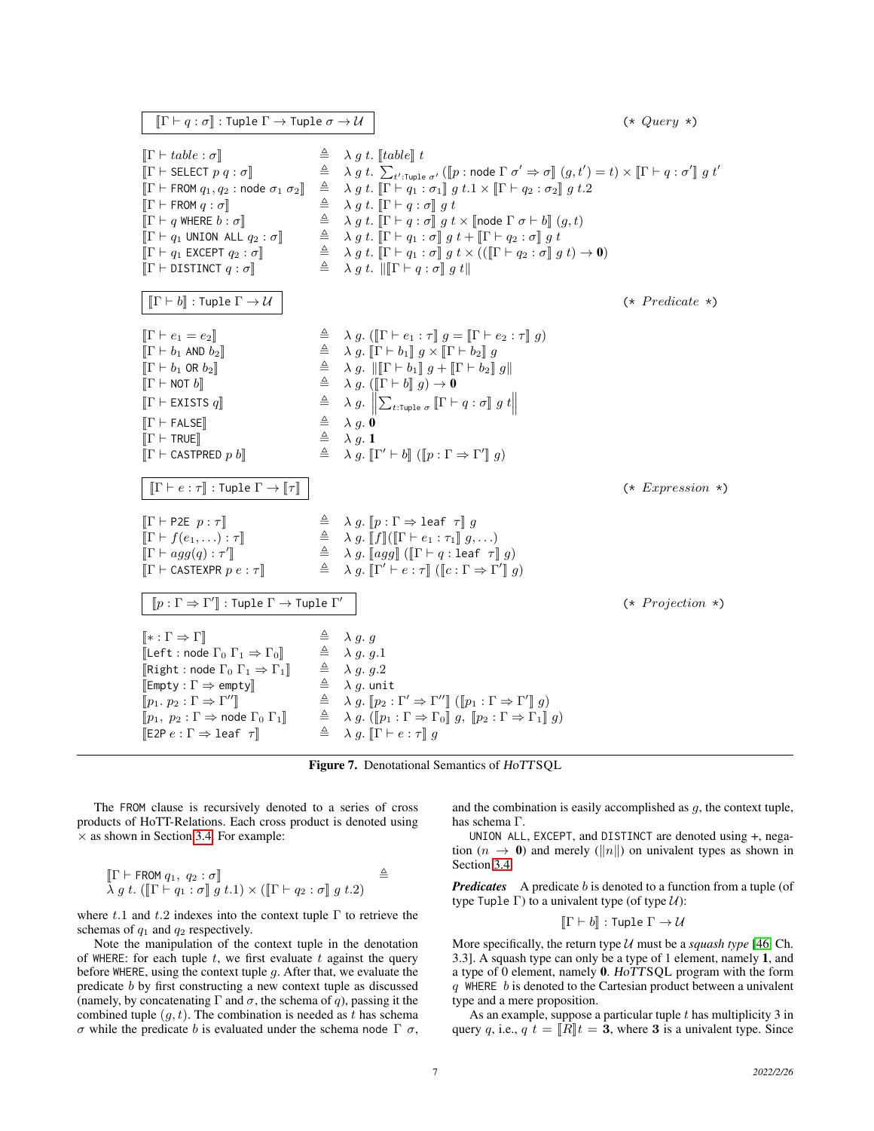$\llbracket \Gamma \vdash q : \sigma \rrbracket$  : Tuple  $\Gamma \rightarrow$  Tuple  $\sigma \rightarrow \mathcal{U}$  (\* Query \*)  $[\![\Gamma \vdash table : \sigma]\!]$   $\triangleq \lambda q t$ .  $[table]\!] t$  $\begin{array}{ll}\n\llbracket \Gamma \vdash \text{SELECT } p \ q : \sigma \rrbracket \\
\llbracket \Gamma \vdash \text{ FROM } q_1, q_2 \text{ : node } \sigma_1 \ \sigma_2 \rrbracket & \triangleq\n\end{array}$  $t'$ :Tuple  $\sigma'$  ( $[p : \text{node } \Gamma \sigma' \Rightarrow \sigma \mathbb{I} \ (g, t') = t \times \mathbb{I} \Gamma \vdash q : \sigma' \mathbb{I} \ g \ t'$  $\begin{array}{ll}\n\llbracket \Gamma \vdash \textsf{FROM} \ q_1, q_2 \textsf{: node } \sigma_1 \ \sigma_2 \rrbracket & \triangleq & \lambda \ g \ t. \ \llbracket \Gamma \vdash q_1 \textsf{: } \sigma_1 \rrbracket \ g \ t.1 \times \llbracket \Gamma \vdash q_2 \textsf{: } \sigma_2 \rrbracket \ g \ t.2\n\end{array}$  $[T \vdash \textsf{FROM} \ q : \sigma]$   $\triangleq \lambda \ g \ t. \ [\![\Gamma \vdash q : \sigma]\!] \ g \ t$ <br> $\triangleq \lambda \ g \ t. \ [\![\Gamma \vdash q : \sigma]\!] \ g \ t$  $\begin{array}{ll}\n\llbracket \Gamma \vdash q \text{ WHERE } b : \sigma \rrbracket & \triangleq \lambda \, g \ t. \; \llbracket \Gamma \vdash q : \sigma \rrbracket \, g \ t \times \llbracket \text{node } \Gamma \, \sigma \vdash b \rrbracket \, (g, t) \\
\llbracket \Gamma \vdash q_1 \text{ UNION ALL } q_2 : \sigma \rrbracket & \triangleq \lambda \, g \ t. \; \llbracket \Gamma \vdash q_1 : \sigma \rrbracket \, g \ t + \llbracket \Gamma \vdash q_2 : \sigma \rrbracket \, g \ t\n\end{array}$  $\begin{array}{ll}\n\llbracket \Gamma \vdash q_1 \text{ UNION ALL } q_2 : \sigma \rrbracket \\
\quad \triangleq \quad \lambda \, g \ t. \quad \llbracket \Gamma \vdash q_1 : \sigma \rrbracket \, g \ t + \llbracket \Gamma \vdash q_2 : \sigma \rrbracket \, g \ t \\
\quad \triangleq \quad \lambda \, q \ t. \quad \llbracket \Gamma \vdash q_1 : \sigma \rrbracket \, q \ t \times ((\llbracket \Gamma \vdash q_2 : \sigma \rrbracket \, q \end{array})$  $\begin{array}{ll}\n\mathbb{I} \vdash q_1 \text{ EXCEPT } q_2 : \sigma\n\end{array}\n\begin{array}{ll}\n\triangleq & \lambda g \ t. \quad \mathbb{I} \Gamma \vdash q_1 : \sigma\n\end{array}\n\begin{array}{ll}\n\mathbf{g} \ t \times ((\mathbb{I} \Gamma \vdash q_2 : \sigma\n\end{array}\n\mathbf{g} \ t) \to \mathbf{0}\n\end{array}$  $\triangleq \lambda g t$ .  $\|\[\Gamma \vdash q : \sigma\] g t\|$  $\llbracket \Gamma \vdash b \rrbracket : \text{Tuple } \Gamma \to \mathcal{U}$  (\* Predicate \*)  $\begin{array}{ll}\n\begin{array}{ll}\n\mathbb{T} \vdash e_1 = e_2\n\end{array}\n\end{array}\n\qquad\n\begin{array}{ll}\n\triangleq & \lambda \, g. \left( \left[ \Gamma \vdash e_1 : \tau \right] g = \left[ \Gamma \vdash e_2 : \tau \right] g \right) \\
\triangleq & \lambda \, g. \left[ \Gamma \vdash b_1 \right] g \times \left[ \Gamma \vdash b_2 \right] g\n\end{array}$  $\begin{array}{lllll} \left[\Gamma\vdash b_1\text{ AND }b_2\right] &\phantom{a}\triangleq& \lambda\ g.\;\left[\Gamma\vdash b_1\right]g\times\left[\Gamma\vdash b_2\right]g\\ \left[\Gamma\vdash b_1\text{ OR }b_2\right] &\phantom{a}\triangleq& \lambda\ g.\;\left\|\left[\Gamma\vdash b_1\right]g+\left[\Gamma\vdash b_2\right]\right] \end{array}$  $\begin{array}{ll}\n\begin{array}{ccc}\n\mathbb{T} \vdash b_1 \text{ OR } b_2\n\end{array}\n\end{array}\n\qquad\n\begin{array}{ll}\n\triangleq & \lambda g. \|\mathbb{T} \vdash b_1\| g + \|\Gamma \vdash b_2\| g\| \\
\triangleq & \lambda g. (\|\Gamma \vdash b\| g) \to 0\n\end{array}$  $\triangleq \quad \lambda g. ([\Gamma \vdash b], g) \to 0$  $\llbracket \Gamma \vdash$  EXISTS  $q \rrbracket$ <br> $\llbracket \Gamma \vdash$  FALSE $\rrbracket$  $\left\Vert \sum_{t: \textsf{Tuple} \; \sigma} \left\Vert \Gamma \vdash q: \sigma \right\Vert g \; t \right\Vert$  $[T \vdash \text{FALSE}]$   $\stackrel{\triangle}{=} \lambda g. 0$ <br>  $[T \vdash \text{TRUE}]$   $\stackrel{\triangle}{=} \lambda g. 1$  $\left[\!\left[\Gamma \vdash \textsf{TRUE}\right]\!\right] \qquad \qquad \triangleq \quad \lambda \, g. \; \mathbf{1}$  $\llbracket \Gamma \vdash$  CASTPRED  $p \; b \rrbracket$  $\mathcal{O} \vdash b \rrbracket (\llbracket p : \Gamma \Rightarrow \Gamma' \rrbracket g)$  $\llbracket \Gamma \vdash e : \tau \rrbracket : \text{Tuple } \Gamma \to \llbracket \tau \rrbracket$  (\* Expression \*)  $\begin{array}{ll}\n\mathbb{I} \vdash \mathsf{P2E} \ p : \tau \mathbb{I} & \stackrel{\triangle}{=} \lambda \ g. \ [p : \Gamma \Rightarrow \mathsf{leaf} \ \tau \mathbb{I} \ g, \\
\mathbb{I} \vdash f(e_1, \ldots) : \tau \mathbb{I} & \stackrel{\triangle}{=} \lambda \ g. \ [f] \{ \mathbb{I} \vdash e_1 : \tau_1 \mathbb{I} \ g, \\
\end{array}$  $\triangleq \quad \lambda \, g. \; [f] \left( \left[ \Gamma \vdash e_1 : \tau_1 \right] \right] g, \ldots \right)$  $[\Gamma \vdash agg(q) : \tau'$  $\triangleq \quad \lambda g. \text{[[}agg\text{]]} \text{([}\Gamma \vdash q : \text{leaf } \tau \text{]]} g\text{)}$  $\llbracket \Gamma \vdash$  CASTEXPR  $p e : \tau \rrbracket$  $\mathscr{C} \vdash e : \tau \rrbracket \ (\llbracket c : \Gamma \Rightarrow \Gamma' \rrbracket \ g)$  $\n \llbracket p : \Gamma \Rightarrow \Gamma' \rrbracket : \text{Tuple } \Gamma \to \text{Tuple } \Gamma'$  $(*\; Projection\;*)$  $\llbracket * : \Gamma \Rightarrow \Gamma \rrbracket$   $\triangleq \lambda g. g$ <br> $\llbracket \text{Left } \text{node } \Gamma, \Gamma, \Delta, \Gamma \rrbracket$   $\triangleq \lambda g. g$  $\begin{bmatrix} \begin{bmatrix} \begin{bmatrix} \begin{bmatrix} 1 & 1 \end{bmatrix} & \begin{bmatrix} 1 & 1 \end{bmatrix} & \begin{bmatrix} 1 & 1 \end{bmatrix} & \begin{bmatrix} 1 & 1 \end{bmatrix} & \begin{bmatrix} 1 & 1 \end{bmatrix} & \begin{bmatrix} 1 & 1 \end{bmatrix} & \begin{bmatrix} 1 & 1 \end{bmatrix} & \begin{bmatrix} 1 & 1 \end{bmatrix} & \begin{bmatrix} 1 & 1 \end{bmatrix} & \begin{bmatrix} 1 & 1 \end{bmatrix} & \begin{bmatrix} 1 & 1 \end{bmatrix} & \begin{b$  $[\text{Right} : \text{node } \Gamma_0 \Gamma_1 \Rightarrow \Gamma_1] \qquad \triangleq \qquad \lambda g. g. 2$ <br> $[\text{Empty} : \Gamma \Rightarrow \text{empty}] \qquad \triangleq \qquad \lambda g. \text{unit}$  $\begin{array}{ll}\n\text{[Empty}: \Gamma \Rightarrow \text{empty} \\
\text{[0]} & \triangleq \n\end{array}$  $[p_1, p_2 : \Gamma \Rightarrow \Gamma''$  $\begin{array}{lll}\n\mathbb{I} & \triangleq & \lambda g. \ [\![p_2 : \Gamma' \Rightarrow \Gamma''] \ ] \ ([p_1 : \Gamma \Rightarrow \Gamma'] \ g) \\
\mathbb{I} & \triangleq & \lambda g. \ ([\![p_2 : \Gamma \Rightarrow \Gamma'] \ ] \ g \ \mathbb{I} & \ \mathbb{I} \Rightarrow \Gamma \ \mathbb{I} \end{array}$  $[p_1, p_2 : \Gamma \Rightarrow \text{node } \Gamma_0 \Gamma_1]$   $\triangleq \lambda g. ([p_1 : \Gamma \Rightarrow \Gamma_0] g, [p_2 : \Gamma \Rightarrow \Gamma_1] g)$ <br>  $[\mathbb{E}2P e : \Gamma \Rightarrow \text{leaf } \tau]$   $\triangleq \lambda g. [\Gamma \vdash e : \tau] g$  $\triangleq \quad \lambda \; g. \; [\![ \Gamma \vdash e : \tau ]\!] \; g$ 

<span id="page-6-0"></span>Figure 7. Denotational Semantics of HoTTSQL

The FROM clause is recursively denoted to a series of cross products of HoTT-Relations. Each cross product is denoted using  $\times$  as shown in Section [3.4.](#page-4-0) For example:

$$
\begin{array}{l} \left[ \! \left[ \Gamma \vdash \mathsf{FROM} \, q_1, \, q_2 : \sigma \right] \! \right] \\ \lambda \, g \, t. \left( \left[ \! \left[ \Gamma \vdash q_1 : \sigma \right] \right] g \, t.1 \right) \times \left( \left[ \! \left[ \Gamma \vdash q_2 : \sigma \right] \right] g \, t.2 \right) \end{array} \triangleq
$$

where t.1 and t.2 indexes into the context tuple  $\Gamma$  to retrieve the schemas of  $q_1$  and  $q_2$  respectively.

Note the manipulation of the context tuple in the denotation of WHERE: for each tuple t, we first evaluate t against the query before WHERE, using the context tuple g. After that, we evaluate the predicate b by first constructing a new context tuple as discussed (namely, by concatenating  $\Gamma$  and  $\sigma$ , the schema of q), passing it the combined tuple  $(q, t)$ . The combination is needed as t has schema σ while the predicate b is evaluated under the schema node Γ σ, and the combination is easily accomplished as  $q$ , the context tuple, has schema Γ.

UNION ALL, EXCEPT, and DISTINCT are denoted using +, negation  $(n \to 0)$  and merely  $(\|n\|)$  on univalent types as shown in Section [3.4.](#page-4-0)

*Predicates* A predicate b is denoted to a function from a tuple (of type Tuple Γ) to a univalent type (of type  $U$ ):

$$
[\![\Gamma \vdash b]\!] : \mathsf{Tuple} \; \Gamma \to \mathcal{U}
$$

More specifically, the return type  $U$  must be a *squash type* [\[46,](#page-12-20) Ch. 3.3]. A squash type can only be a type of 1 element, namely 1, and a type of 0 element, namely 0. HoTTSQL program with the form  $q$  WHERE  $b$  is denoted to the Cartesian product between a univalent type and a mere proposition.

As an example, suppose a particular tuple  $t$  has multiplicity 3 in query q, i.e.,  $q \, t = \|R\| t = 3$ , where 3 is a univalent type. Since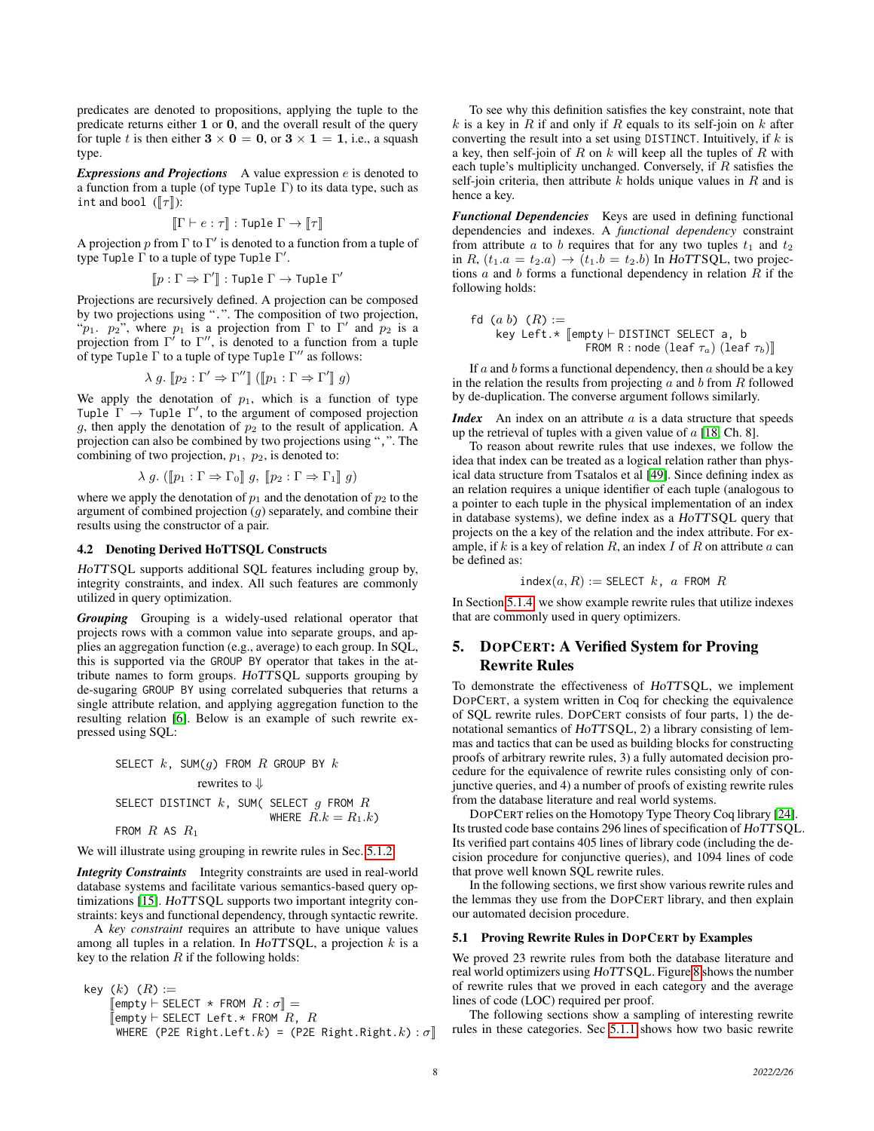predicates are denoted to propositions, applying the tuple to the predicate returns either 1 or 0, and the overall result of the query for tuple t is then either  $3 \times 0 = 0$ , or  $3 \times 1 = 1$ , i.e., a squash type.

*Expressions and Projections* A value expression e is denoted to a function from a tuple (of type Tuple Γ) to its data type, such as int and bool  $(\llbracket \tau \rrbracket)$ :

$$
[\![\Gamma \vdash e : \tau]\!] : \text{Tuple } \Gamma \to [\![\tau]\!]
$$

A projection p from  $\Gamma$  to  $\Gamma'$  is denoted to a function from a tuple of type Tuple  $\Gamma$  to a tuple of type Tuple  $\Gamma'$ .

$$
[\![p:\Gamma\Rightarrow\Gamma']\!]:\text{Tuple }\Gamma\to\text{Tuple }\Gamma'
$$

Projections are recursively defined. A projection can be composed by two projections using ".". The composition of two projection, " $p_1$ .  $p_2$ ", where  $p_1$  is a projection from  $\Gamma$  to  $\Gamma'$  and  $p_2$  is a projection from  $\Gamma'$  to  $\Gamma''$ , is denoted to a function from a tuple of type Tuple  $\Gamma$  to a tuple of type Tuple  $\Gamma''$  as follows:

$$
\lambda g. \llbracket p_2 : \Gamma' \Rightarrow \Gamma'' \rrbracket (\llbracket p_1 : \Gamma \Rightarrow \Gamma' \rrbracket g)
$$

We apply the denotation of  $p_1$ , which is a function of type Tuple  $\Gamma \rightarrow$  Tuple  $\Gamma'$ , to the argument of composed projection g, then apply the denotation of  $p_2$  to the result of application. A projection can also be combined by two projections using ",". The combining of two projection,  $p_1$ ,  $p_2$ , is denoted to:

$$
\lambda g. ([p_1 : \Gamma \Rightarrow \Gamma_0]] g, [p_2 : \Gamma \Rightarrow \Gamma_1]] g)
$$

where we apply the denotation of  $p_1$  and the denotation of  $p_2$  to the argument of combined projection  $(q)$  separately, and combine their results using the constructor of a pair.

#### <span id="page-7-1"></span>4.2 Denoting Derived HoTTSQL Constructs

HoTTSQL supports additional SQL features including group by, integrity constraints, and index. All such features are commonly utilized in query optimization.

*Grouping* Grouping is a widely-used relational operator that projects rows with a common value into separate groups, and applies an aggregation function (e.g., average) to each group. In SQL, this is supported via the GROUP BY operator that takes in the attribute names to form groups. HoTTSQL supports grouping by de-sugaring GROUP BY using correlated subqueries that returns a single attribute relation, and applying aggregation function to the resulting relation [\[6\]](#page-12-14). Below is an example of such rewrite expressed using SQL:

SELECT 
$$
k
$$
, SUM( $g$ ) FROM  $R$  GROUP BY  $k$   
rewrites to  $\Downarrow$   
SELECT DISTINCT  $k$ , SUM(SELECT  $g$  FROM  $R$   
WHERE  $R.k = R_1.k$ )  
FROM  $R$  AS  $R_1$ 

We will illustrate using grouping in rewrite rules in Sec. [5.1.2.](#page-8-2)

*Integrity Constraints* Integrity constraints are used in real-world database systems and facilitate various semantics-based query optimizations [\[15\]](#page-12-28). HoTTSQL supports two important integrity constraints: keys and functional dependency, through syntactic rewrite.

A *key constraint* requires an attribute to have unique values among all tuples in a relation. In  $HoTTSQL$ , a projection  $k$  is a key to the relation  $R$  if the following holds:

```
\nkey (k) (R) :=\n    [empty 
$$
\vdash
$$
 SELECT * FROM  $R : \sigma$ ] =\n    [empty  $\vdash$  SELECT Left. * FROM  $R$ ,  $R$ \n    WHERE (P2E Right.left. k) = (P2E Right  Right. k) :  $\sigma$ ] \n
```

To see why this definition satisfies the key constraint, note that  $k$  is a key in  $R$  if and only if  $R$  equals to its self-join on  $k$  after converting the result into a set using DISTINCT. Intuitively, if  $k$  is a key, then self-join of  $R$  on  $k$  will keep all the tuples of  $R$  with each tuple's multiplicity unchanged. Conversely, if  $R$  satisfies the self-join criteria, then attribute  $k$  holds unique values in  $R$  and is hence a key.

*Functional Dependencies* Keys are used in defining functional dependencies and indexes. A *functional dependency* constraint from attribute a to b requires that for any two tuples  $t_1$  and  $t_2$ in R,  $(t_1.a = t_2.a) \rightarrow (t_1.b = t_2.b)$  In HoTTSQL, two projections  $a$  and  $b$  forms a functional dependency in relation  $R$  if the following holds:

$$
\begin{aligned}\n\text{fd} \ (a \ b) \ (R) &:= \\
\text{key Left.} \ast \ [\text{empty} \vdash \text{DISTINCT} \ \text{SELECT} \ a, \ b \\
& \text{FROM} \ R : \text{node} \ (\text{leaf } \tau_a) \ (\text{leaf } \tau_b) \]\n\end{aligned}
$$

If  $a$  and  $b$  forms a functional dependency, then  $a$  should be a key in the relation the results from projecting  $a$  and  $b$  from  $R$  followed by de-duplication. The converse argument follows similarly.

*Index* An index on an attribute a is a data structure that speeds up the retrieval of tuples with a given value of  $a$  [\[18,](#page-12-29) Ch. 8].

To reason about rewrite rules that use indexes, we follow the idea that index can be treated as a logical relation rather than physical data structure from Tsatalos et al [\[49\]](#page-13-3). Since defining index as an relation requires a unique identifier of each tuple (analogous to a pointer to each tuple in the physical implementation of an index in database systems), we define index as a HoTTSQL query that projects on the a key of the relation and the index attribute. For example, if k is a key of relation R, an index I of R on attribute  $a$  can be defined as:

$$
\mathsf{index}(a, R) := \mathsf{SELECT} \ \ k, \ \ a \ \ \mathsf{FROM} \ \ R
$$

In Section [5.1.4,](#page-9-0) we show example rewrite rules that utilize indexes that are commonly used in query optimizers.

## <span id="page-7-0"></span>5. DOPCERT: A Verified System for Proving Rewrite Rules

To demonstrate the effectiveness of HoTTSQL, we implement DOPCERT, a system written in Coq for checking the equivalence of SQL rewrite rules. DOPCERT consists of four parts, 1) the denotational semantics of HoTTSQL, 2) a library consisting of lemmas and tactics that can be used as building blocks for constructing proofs of arbitrary rewrite rules, 3) a fully automated decision procedure for the equivalence of rewrite rules consisting only of conjunctive queries, and 4) a number of proofs of existing rewrite rules from the database literature and real world systems.

DOPCERT relies on the Homotopy Type Theory Coq library [\[24\]](#page-12-30). Its trusted code base contains 296 lines of specification of HoTTSQL. Its verified part contains 405 lines of library code (including the decision procedure for conjunctive queries), and 1094 lines of code that prove well known SQL rewrite rules.

In the following sections, we first show various rewrite rules and the lemmas they use from the DOPCERT library, and then explain our automated decision procedure.

#### 5.1 Proving Rewrite Rules in DOPCERT by Examples

We proved 23 rewrite rules from both the database literature and real world optimizers using HoTTSQL. Figure [8](#page-8-0) shows the number of rewrite rules that we proved in each category and the average lines of code (LOC) required per proof.

The following sections show a sampling of interesting rewrite rules in these categories. Sec [5.1.1](#page-8-1) shows how two basic rewrite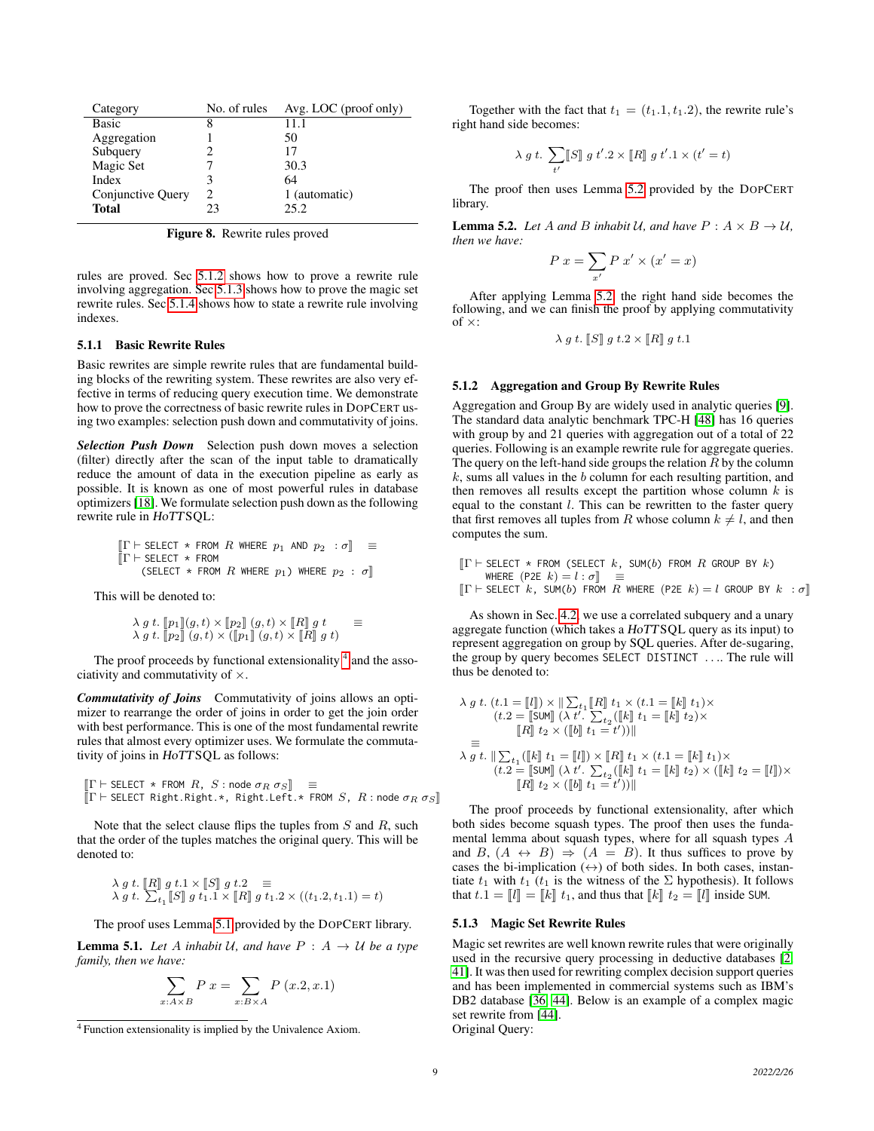| Category          | No. of rules                | $Avg. LOC$ (proof only) |
|-------------------|-----------------------------|-------------------------|
| Basic             | 8                           | 11.1                    |
| Aggregation       |                             | 50                      |
| Subquery          |                             | 17                      |
| Magic Set         |                             | 30.3                    |
| Index             |                             | 64                      |
| Conjunctive Query | $\mathcal{D}_{\mathcal{A}}$ | 1 (automatic)           |
| <b>Total</b>      | 23                          | 25.2                    |

<span id="page-8-0"></span>Figure 8. Rewrite rules proved

rules are proved. Sec [5.1.2](#page-8-2) shows how to prove a rewrite rule involving aggregation. Sec [5.1.3](#page-8-3) shows how to prove the magic set rewrite rules. Sec [5.1.4](#page-9-0) shows how to state a rewrite rule involving indexes.

## <span id="page-8-1"></span>5.1.1 Basic Rewrite Rules

Basic rewrites are simple rewrite rules that are fundamental building blocks of the rewriting system. These rewrites are also very effective in terms of reducing query execution time. We demonstrate how to prove the correctness of basic rewrite rules in DOPCERT using two examples: selection push down and commutativity of joins.

*Selection Push Down* Selection push down moves a selection (filter) directly after the scan of the input table to dramatically reduce the amount of data in the execution pipeline as early as possible. It is known as one of most powerful rules in database optimizers [\[18\]](#page-12-29). We formulate selection push down as the following rewrite rule in HoTTSQL:

$$
\begin{array}{lll} \texttt{[\Gamma} \vdash \texttt{SELECT} \; \ast \; \texttt{FROM} \; \; R \; \texttt{WHERE} \; \; p_1 \; \; \texttt{AND} \; \; p_2 \; \; : \sigma \texttt{]} & \equiv \\ \texttt{[\Gamma} \vdash \texttt{SELECT} \; \ast \; \texttt{FROM} \; \; R \; \texttt{WHERE} \; \; p_1) \; \texttt{WHERE} \; \; p_2 \; : \; \sigma \texttt{]} \end{array}
$$

This will be denoted to:

$$
\begin{array}{lcl}\n\lambda \, g \, t. & \left[ p_1 \right] \left[ g, t \right) \times \left[ p_2 \right] \left[ g, t \right) \times \left[ R \right] \, g \, t & \equiv \\
\lambda \, g \, t. & \left[ p_2 \right] \left[ g, t \right) \times \left( \left[ p_1 \right] \right] \left( g, t \right) \times \left[ R \right] \, g \, t \right)\n\end{array}
$$

The proof proceeds by functional extensionality <sup>[4](#page-8-4)</sup> and the associativity and commutativity of  $\times$ .

*Commutativity of Joins* Commutativity of joins allows an optimizer to rearrange the order of joins in order to get the join order with best performance. This is one of the most fundamental rewrite rules that almost every optimizer uses. We formulate the commutativity of joins in HoTTSQL as follows:

$$
\begin{aligned}\n[\Gamma \vdash \text{SELECT} \ast \text{ FROM } R, S : \text{node } \sigma_R \sigma_S] & \equiv \\
[\Gamma \vdash \text{SELECT Right} \cdot \text{Right} \cdot \text{Right} \cdot \text{Left} \cdot \star \text{ FROM } S, R : \text{node } \sigma_R \sigma_S]\n\end{aligned}
$$

Note that the select clause flips the tuples from  $S$  and  $R$ , such that the order of the tuples matches the original query. This will be denoted to:

$$
\lambda g t. \ [R] g t.1 \times [S] g t.2 \equiv
$$
\n
$$
\lambda g t. \ \sum_{t_1} [S] g t_1.1 \times [R] g t_1.2 \times ((t_1.2, t_1.1) = t)
$$

The proof uses Lemma [5.1](#page-8-5) provided by the DOPCERT library.

<span id="page-8-5"></span>**Lemma 5.1.** Let A inhabit U, and have  $P : A \rightarrow U$  be a type *family, then we have:*

$$
\sum_{x:A\times B} P x = \sum_{x:B\times A} P (x.2, x.1)
$$

Together with the fact that  $t_1 = (t_1.1, t_1.2)$ , the rewrite rule's right hand side becomes:

$$
\lambda \; g \; t. \; \sum_{t'} \llbracket S \rrbracket \; g \; t'.2 \times \llbracket R \rrbracket \; g \; t'.1 \times (t'=t)
$$

The proof then uses Lemma [5.2](#page-8-6) provided by the DOPCERT library.

<span id="page-8-6"></span>**Lemma 5.2.** *Let* A *and* B *inhabit* U, *and have*  $P: A \times B \rightarrow U$ , *then we have:*

$$
P x = \sum_{x'} P x' \times (x' = x)
$$

After applying Lemma [5.2,](#page-8-6) the right hand side becomes the following, and we can finish the proof by applying commutativity of  $\times$ :

$$
\lambda g t. \llbracket S \rrbracket g t. 2 \times \llbracket R \rrbracket g t. 1
$$

#### <span id="page-8-2"></span>5.1.2 Aggregation and Group By Rewrite Rules

Aggregation and Group By are widely used in analytic queries [\[9\]](#page-12-21). The standard data analytic benchmark TPC-H [\[48\]](#page-12-31) has 16 queries with group by and 21 queries with aggregation out of a total of 22 queries. Following is an example rewrite rule for aggregate queries. The query on the left-hand side groups the relation  $R$  by the column  $k$ , sums all values in the  $b$  column for each resulting partition, and then removes all results except the partition whose column  $k$  is equal to the constant l. This can be rewritten to the faster query that first removes all tuples from R whose column  $k \neq l$ , and then computes the sum.

$$
\begin{bmatrix} \Gamma \vdash \text{SELECT} \ast \text{ FROM (SELECT} \ k, \text{ SUM}(b) \text{ FROM } R \text{ GROUP BY } k \end{bmatrix}
$$
\n
$$
\begin{bmatrix} \text{WHERE} \ (\text{P2E} \ k) = l : \sigma \end{bmatrix} \equiv
$$
\n
$$
\begin{bmatrix} \Gamma \vdash \text{SE} \ \text{EC} \ \text{FC} \ k, \text{ SIM}(b) \ \text{FROM} \ R \ \text{WHERE} \ (\text{P2E} \ k) = l \ \text{CPOIIP BY } k \end{bmatrix}
$$

$$
[\![\Gamma \vdash \mathsf{SELECT}\ \; k\,,\, \mathsf{SUM}(b)\ \mathsf{FROM}\ \; R\ \mathsf{WHERE}\ \;(\mathsf{P2E}\ \; k) = l\ \mathsf{GROUP}\ \mathsf{BY}\ \; k\ \; : \sigma]\!]
$$

As shown in Sec. [4.2,](#page-7-1) we use a correlated subquery and a unary aggregate function (which takes a HoTTSQL query as its input) to represent aggregation on group by SQL queries. After de-sugaring, the group by query becomes SELECT DISTINCT . . .. The rule will thus be denoted to:

$$
\lambda g t. (t.1 = [l]) \times ||\sum_{t_1} [R] t_1 \times (t.1 = [k]] t_1) \times (t.2 = [[\text{SUM}]] (\lambda t'. \sum_{t_2} ([k]] t_1 = [k]] t_2) \times ([[k]] t_2 \times ([b]] t_1 = t'))||
$$
  
\n
$$
\equiv \lambda g t. ||\sum_{t_1} ([k]] t_1 = [[l]) \times [[R]] t_1 \times (t.1 = [[k]] t_1) \times (t.2 = [[\text{SUM}]] (\lambda t'. \sum_{t_2} ([k]] t_1 = [[k]] t_2) \times ([k]] t_2 = [[l]]) \times ([[k]] t_1 = t'))||
$$

The proof proceeds by functional extensionality, after which both sides become squash types. The proof then uses the fundamental lemma about squash types, where for all squash types A and B,  $(A \leftrightarrow B) \Rightarrow (A = B)$ . It thus suffices to prove by cases the bi-implication  $(\leftrightarrow)$  of both sides. In both cases, instantiate  $t_1$  with  $t_1$  ( $t_1$  is the witness of the  $\Sigma$  hypothesis). It follows that  $t \cdot 1 = [l] = [k] t_1$ , and thus that  $[k] t_2 = [l]$  inside SUM.

#### <span id="page-8-3"></span>5.1.3 Magic Set Rewrite Rules

Magic set rewrites are well known rewrite rules that were originally used in the recursive query processing in deductive databases [\[2,](#page-12-23) [41\]](#page-12-32). It was then used for rewriting complex decision support queries and has been implemented in commercial systems such as IBM's DB2 database [\[36,](#page-12-1) [44\]](#page-12-3). Below is an example of a complex magic set rewrite from [\[44\]](#page-12-3). Original Query:

<span id="page-8-4"></span><sup>4</sup> Function extensionality is implied by the Univalence Axiom.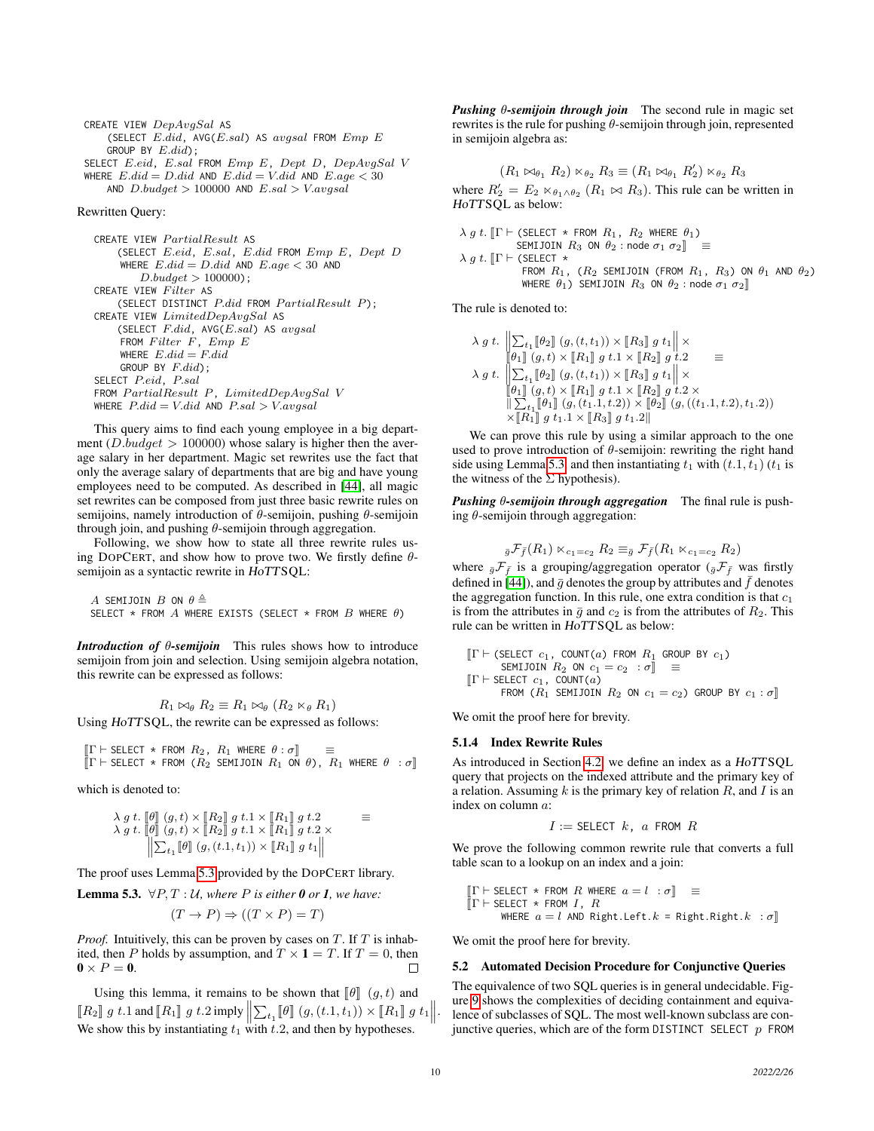CREATE VIEW  $DepAvgSal$  AS (SELECT  $E.did$ , AVG $(E.sal)$  AS  $avgsal$  FROM  $Emp E$ GROUP BY  $E.did$ ); SELECT E.eid, E.sal FROM Emp E, Dept D, DepAvgSal V WHERE  $E.did = D.did$  AND  $E.did = V.did$  AND  $E.age < 30$ 

AND  $D.budget > 100000$  AND  $E.sal > V.avgsal$ 

#### Rewritten Query:

```
CREATE VIEW PartialResult AS
    (SELECT E.eid, E.sal, E.did FROM Emp E, Dept D
    WHERE E.did = D.did AND E.age < 30 AND
        D.budget > 100000;
CREATE VIEW Filter AS
    (SELECT DISTINCT P.did FROM PartialResult P);
CREATE VIEW LimitedDepAvgSal AS
    (SELECT F.did, AVG(E.sal) AS avgsalFROM Filter F, Emp EWHERE E.did = F.didGROUP BY F.did);
SELECT P.eid, P.sal
{\small \textsf{FROM}\; Partial Result\;P,\; LimitedDepAvgSal\;V}WHERE P.did = V.did AND P.sal > V.avgsal
```
This query aims to find each young employee in a big department (D.budget  $> 100000$ ) whose salary is higher then the average salary in her department. Magic set rewrites use the fact that only the average salary of departments that are big and have young employees need to be computed. As described in [\[44\]](#page-12-3), all magic set rewrites can be composed from just three basic rewrite rules on semijoins, namely introduction of  $\theta$ -semijoin, pushing  $\theta$ -semijoin through join, and pushing  $\theta$ -semijoin through aggregation.

Following, we show how to state all three rewrite rules using DOPCERT, and show how to prove two. We firstly define  $\theta$ semijoin as a syntactic rewrite in HoTTSQL:

A SEMIJOIN B ON  $\theta \triangleq$ SELECT \* FROM  $A$  where exists (select \* From  $B$  where  $\theta$ )

*Introduction of* θ*-semijoin* This rules shows how to introduce semijoin from join and selection. Using semijoin algebra notation, this rewrite can be expressed as follows:

$$
R_1 \bowtie_{\theta} R_2 \equiv R_1 \bowtie_{\theta} (R_2 \bowtie_{\theta} R_1)
$$

Using HoTTSQL, the rewrite can be expressed as follows:

 $[T \vdash \text{SELECT } * \text{ FROM } R_2, R_1 \text{ WHERE } \theta : \sigma]$   $\equiv$ <br> $[T \vdash \text{SEI ECT } * \text{ FROM } (R_2 \text{ SEMI IOTH } R_1 \text{ ON } \theta)$   $\equiv$  $\llbracket \Gamma \vdash \textup{SELECT} * \textup{ FROM } (R_2 \textup{ SEMIJOIN } R_1 \textup{ ON } \theta), R_1 \textup{ WHERE } \theta : \sigma \rrbracket$ 

which is denoted to:

λ g t. <sup>J</sup>θ<sup>K</sup> (g, t) <sup>×</sup> <sup>J</sup>R2<sup>K</sup> g t.<sup>1</sup> <sup>×</sup> <sup>J</sup>R1<sup>K</sup> g t.<sup>2</sup> <sup>≡</sup> λ g t. <sup>J</sup> <sup>θ</sup><sup>K</sup> (g, t) <sup>×</sup> <sup>J</sup>R2<sup>K</sup> g t.<sup>1</sup> <sup>×</sup> <sup>J</sup>R1<sup>K</sup> g t.<sup>2</sup> <sup>×</sup> P t1 <sup>J</sup>θ<sup>K</sup> (g, (t.1, t1)) <sup>×</sup> <sup>J</sup>R1<sup>K</sup> g t<sup>1</sup> 

The proof uses Lemma [5.3](#page-9-1) provided by the DOPCERT library.

<span id="page-9-1"></span>**Lemma 5.3.**  $\forall P, T : U$ *, where P* is either **0** or **1***, we have:* 

$$
(T \to P) \Rightarrow ((T \times P) = T)
$$

*Proof.* Intuitively, this can be proven by cases on  $T$ . If  $T$  is inhabited, then P holds by assumption, and  $T \times 1 = T$ . If  $T = 0$ , then  $\mathbf{0} \times P = \mathbf{0}$ . П

Using this lemma, it remains to be shown that  $[\![\theta]\!]$   $(g, t)$  and  $\llbracket R_2 \rrbracket g t.1$  and  $\llbracket R_1 \rrbracket g t.2$  imply  $\llbracket \sum_{t_1} \llbracket \theta \rrbracket (g,(t.1,t_1)) \times \llbracket R_1 \rrbracket g t_1 \rrbracket$ . We show this by instantiating  $t_1$  with  $t.2$ , and then by hypotheses.

*Pushing* θ*-semijoin through join* The second rule in magic set rewrites is the rule for pushing θ-semijoin through join, represented in semijoin algebra as:

$$
(R_1 \bowtie_{\theta_1} R_2) \bowtie_{\theta_2} R_3 \equiv (R_1 \bowtie_{\theta_1} R'_2) \bowtie_{\theta_2} R_3
$$
where  $R'_2 = E_2 \bowtie_{\theta_1 \wedge \theta_2} (R_1 \bowtie R_3)$ . This rule can be written in *HOTTSQL* as below:

$$
\lambda g t. \text{ [T} \vdash (\text{SELECT} \ast \text{ FROM } R_1, R_2 \text{ WHERE } \theta_1) \newline \text{SEMJOIN } R_3 \text{ ON } \theta_2 : \text{node } \sigma_1 \sigma_2 \text{]} \equiv \newline \lambda g t. \text{ [T} \vdash (\text{SELECT} \ast \text{ FROM } R_1, (R_2 \text{ SEMIJOIN } (\text{FROM } R_1, R_3) \text{ ON } \theta_1 \text{ AND } \theta_2) \newline \text{WHERE } \theta_1) \text{ SEMIJOIN } R_3 \text{ ON } \theta_2 : \text{node } \sigma_1 \sigma_2 \text{]}
$$

The rule is denoted to:

$$
\lambda g t. \left\| \sum_{t_1} [\![\theta_2]\!] \right. (g, (t, t_1)) \times [\![R_3]\!] \, g t_1 \right\| \times \n\lambda g t. \left\| \sum_{t_1} [\![\theta_2]\!] \right. (g, (t, t_1)) \times [\![R_3]\!] \, g t_1 \times \n\lambda g t. \left\| \sum_{t_1} [\![\theta_2]\!] \right. (g, (t, t_1)) \times [\![R_3]\!] \, g t_1 \right\| \times \n\left\| \theta_1 \right\| (g, t) \times [\![R_1]\!] \, g t_1 \times [\![R_2]\!] \, g t_2 \times \n\left\| \sum_{t_1} [\![\theta_1]\!] \right. (g, (t_1.1, t.2)) \times [\![\theta_2]\!] \left. (g, ((t_1.1, t.2), t_1.2)) \right\| \times [\![R_1]\!] \, g t_1 \cdot 1 \times [\![R_3]\!] \, g t_1 \cdot 2 \parallel
$$

We can prove this rule by using a similar approach to the one used to prove introduction of  $\theta$ -semijoin: rewriting the right hand side using Lemma [5.3.](#page-9-1) and then instantiating  $t_1$  with  $(t.1, t_1)$   $(t_1$  is the witness of the  $\Sigma$  hypothesis).

*Pushing* θ*-semijoin through aggregation* The final rule is pushing  $\theta$ -semijoin through aggregation:

$$
_{\bar{g}}\mathcal{F}_{\bar{f}}(R_1) \ltimes_{c_1=c_2} R_2 \equiv_{\bar{g}} \mathcal{F}_{\bar{f}}(R_1 \ltimes_{c_1=c_2} R_2)
$$

where  $_{\bar{g}}\mathcal{F}_{\bar{f}}$  is a grouping/aggregation operator ( $_{\bar{g}}\mathcal{F}_{\bar{f}}$  was firstly defined in [\[44\]](#page-12-3)), and  $\bar{g}$  denotes the group by attributes and  $\bar{f}$  denotes the aggregation function. In this rule, one extra condition is that  $c_1$ is from the attributes in  $\bar{g}$  and  $c_2$  is from the attributes of  $R_2$ . This rule can be written in HoTTSQL as below:

$$
\begin{array}{ll}\n[\Gamma \vdash (\text{SELECT } c_1, \text{ COUNT}(a) \text{ FROM } R_1 \text{ GROUP BY } c_1) \\
 & \text{SEMJOIN } R_2 \text{ ON } c_1 = c_2 : \sigma \mathbb{I} \equiv \\
[\Gamma \vdash \text{SELECT } c_1, \text{ COUNT}(a) \\
 & \text{FROM } (R_1 \text{ SEMIJOIN } R_2 \text{ ON } c_1 = c_2) \text{ GROUP BY } c_1 : \sigma \mathbb{I}\n\end{array}
$$

We omit the proof here for brevity.

#### <span id="page-9-0"></span>5.1.4 Index Rewrite Rules

As introduced in Section [4.2,](#page-7-1) we define an index as a HoTTSQL query that projects on the indexed attribute and the primary key of a relation. Assuming  $k$  is the primary key of relation  $R$ , and  $I$  is an index on column a:

$$
I := \mathsf{SELECT} \ k, \ a \ \mathsf{FROM} \ R
$$

We prove the following common rewrite rule that converts a full table scan to a lookup on an index and a join:

$$
\begin{aligned}\n[\Gamma \vdash \text{SELECT} \ast \text{ FROM } R \text{ WHERE } a = l : \sigma] & \equiv \\
[\Gamma \vdash \text{SELECT} \ast \text{ FROM } I, R \\
&\text{WHERE } a = l \text{ AND Right}.\text{Left}.k = \text{Right}.\text{Right}.k : \sigma]\n\end{aligned}
$$

We omit the proof here for brevity.

#### 5.2 Automated Decision Procedure for Conjunctive Queries

The equivalence of two SQL queries is in general undecidable. Figure [9](#page-10-1) shows the complexities of deciding containment and equivalence of subclasses of SQL. The most well-known subclass are conjunctive queries, which are of the form DISTINCT SELECT  $p$  FROM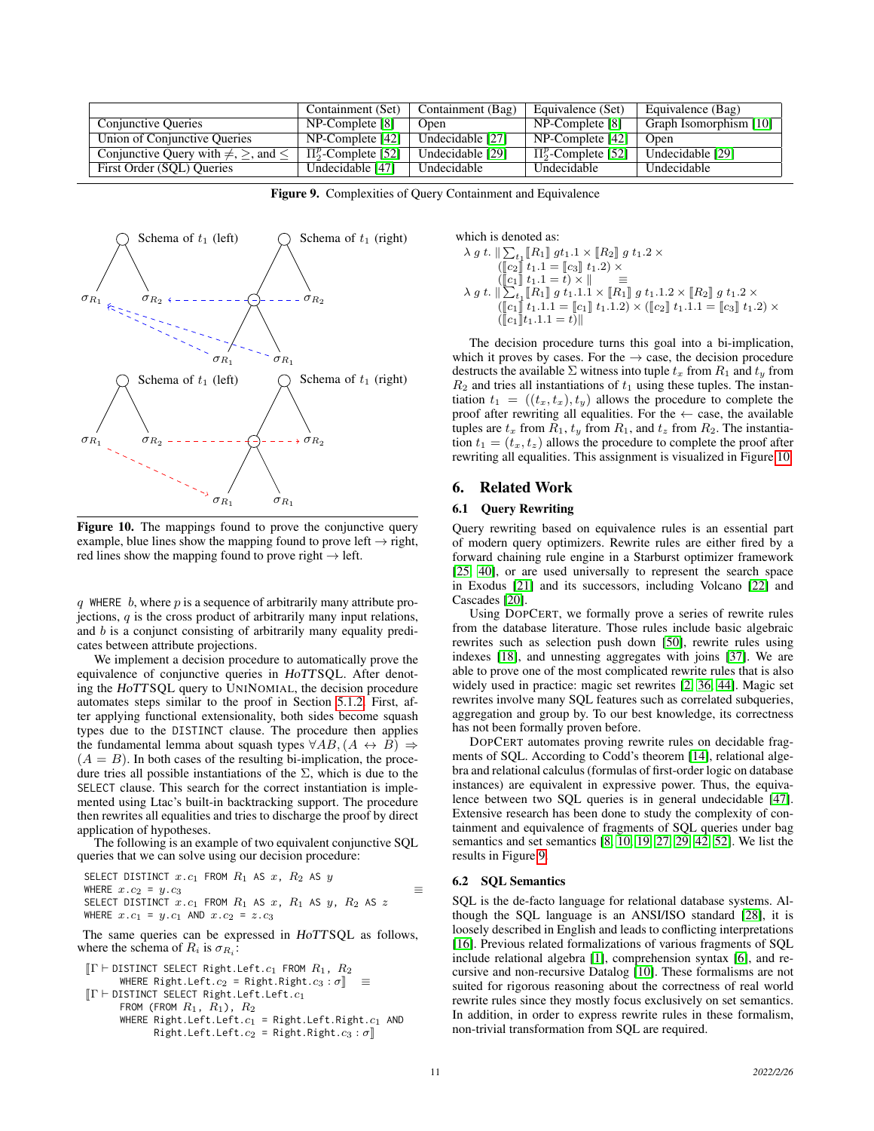|                                                     | Containment (Set)        | Containment (Bag) | Equivalence (Set)        | Equivalence (Bag)      |
|-----------------------------------------------------|--------------------------|-------------------|--------------------------|------------------------|
| <b>Conjunctive Queries</b>                          | $NP$ -Complete $[8]$     | Open              | NP-Complete [8]          | Graph Isomorphism [10] |
| Union of Conjunctive Oueries                        | $NP$ -Complete [42]      | Undecidable [27]  | NP-Complete [42]         | Open                   |
| Conjunctive Query with $\neq$ , $\geq$ , and $\leq$ | $\Pi_2^p$ -Complete [52] | Undecidable [29]  | $\Pi_2^p$ -Complete [52] | Undecidable [29]       |
| First Order (SOL) Oueries                           | Undecidable [47]         | Undecidable       | Undecidable              | Undecidable            |

<span id="page-10-1"></span>Figure 9. Complexities of Query Containment and Equivalence



<span id="page-10-2"></span>Figure 10. The mappings found to prove the conjunctive query example, blue lines show the mapping found to prove left  $\rightarrow$  right, red lines show the mapping found to prove right  $\rightarrow$  left.

q WHERE  $b$ , where  $p$  is a sequence of arbitrarily many attribute projections,  $q$  is the cross product of arbitrarily many input relations, and b is a conjunct consisting of arbitrarily many equality predicates between attribute projections.

We implement a decision procedure to automatically prove the equivalence of conjunctive queries in HoTTSQL. After denoting the HoTTSQL query to UNINOMIAL, the decision procedure automates steps similar to the proof in Section [5.1.2.](#page-8-2) First, after applying functional extensionality, both sides become squash types due to the DISTINCT clause. The procedure then applies the fundamental lemma about squash types  $\forall AB, (A \leftrightarrow B) \Rightarrow$  $(A = B)$ . In both cases of the resulting bi-implication, the procedure tries all possible instantiations of the  $\Sigma$ , which is due to the SELECT clause. This search for the correct instantiation is implemented using Ltac's built-in backtracking support. The procedure then rewrites all equalities and tries to discharge the proof by direct application of hypotheses.

The following is an example of two equivalent conjunctive SQL queries that we can solve using our decision procedure:

SELECT DISTINCT  $x.c_1$  FROM  $R_1$  AS  $x$ ,  $R_2$  AS  $y$ WHERE  $x.c_2 = y.c_3$ SELECT DISTINCT  $x.c_1$  FROM  $R_1$  AS  $x$ ,  $R_1$  AS  $y$ ,  $R_2$  AS  $z$ WHERE  $x.c_1 = y.c_1$  AND  $x.c_2 = z.c_3$ 

The same queries can be expressed in HoTTSQL as follows, where the schema of  $R_i$  is  $\sigma_{R_i}$ :

$$
\begin{array}{ll}\n[\Gamma \vdash \texttt{DISTINCT} \ \texttt{SELECT Right}.\texttt{Left}.c_1 \ \texttt{ FROM } R_1, \ R_2 \\
 & \texttt{WHERE Right}.\texttt{Left}.c_2 = \texttt{Right}.\texttt{Right}.c_3 : \sigma] \end{array} \equiv \n[\Gamma \vdash \texttt{DISTINCT} \ \texttt{SELECT Right}.\texttt{Left}.\texttt{Left}.c_1 \\
 & \texttt{FROM (FROM } R_1, \ R_1), \ R_2 \\
 & \texttt{WHERE Right}.\texttt{Left}.\texttt{Left}.c_1 = \texttt{Right}.\texttt{Left}.\texttt{Right}.c_1 \ \texttt{AND} \\
 & \texttt{Right}.\texttt{Left}.\texttt{Left}.c_2 = \texttt{Right}.\texttt{Right}.c_3 : \sigma]\n\end{array}
$$

which is denoted as:  
\n
$$
\begin{array}{l} \lambda \, g \, t. \parallel \sum_{t_1} \llbracket R_1 \rrbracket \, g t_1.1 \times \llbracket R_2 \rrbracket \, g \, t_1.2 \times \\ \quad \ \ (\llbracket c_2 \rrbracket \, t_1.1 = \llbracket c_3 \rrbracket \, t_1.2) \times \\ \quad \ \ (\llbracket c_1 \rrbracket \, t_1.1 = t) \times \parallel \quad \ \ \equiv \\ \quad \ \ \lambda \, g \, t. \parallel \sum_{t_1} \llbracket R_1 \rrbracket \, g \, t_1.1.1 \times \llbracket R_1 \rrbracket \, g \, t_1.1.2 \times \llbracket R_2 \rrbracket \, g \, t_1.2 \times \\ \quad \ \ (\llbracket c_1 \rrbracket \, t_1.1.1 = \llbracket c_1 \rrbracket \, t_1.1.2) \times (\llbracket c_2 \rrbracket \, t_1.1.1 = \llbracket c_3 \rrbracket \, t_1.2) \times \\ \quad \ \ (\llbracket c_1 \rrbracket \, t_1.1.1 = t) \parallel \end{array}
$$

The decision procedure turns this goal into a bi-implication, which it proves by cases. For the  $\rightarrow$  case, the decision procedure destructs the available  $\Sigma$  witness into tuple  $t_x$  from  $R_1$  and  $t_y$  from  $R_2$  and tries all instantiations of  $t_1$  using these tuples. The instantiation  $t_1 = ((t_x, t_x), t_y)$  allows the procedure to complete the proof after rewriting all equalities. For the  $\leftarrow$  case, the available tuples are  $t_x$  from  $R_1$ ,  $t_y$  from  $R_1$ , and  $t_z$  from  $R_2$ . The instantiation  $t_1 = (t_x, t_z)$  allows the procedure to complete the proof after rewriting all equalities. This assignment is visualized in Figure [10.](#page-10-2)

## <span id="page-10-0"></span>6. Related Work

## 6.1 Query Rewriting

Query rewriting based on equivalence rules is an essential part of modern query optimizers. Rewrite rules are either fired by a forward chaining rule engine in a Starburst optimizer framework [\[25,](#page-12-37) [40\]](#page-12-38), or are used universally to represent the search space in Exodus [\[21\]](#page-12-39) and its successors, including Volcano [\[22\]](#page-12-40) and Cascades [\[20\]](#page-12-41).

Using DOPCERT, we formally prove a series of rewrite rules from the database literature. Those rules include basic algebraic rewrites such as selection push down [\[50\]](#page-13-5), rewrite rules using indexes [\[18\]](#page-12-29), and unnesting aggregates with joins [\[37\]](#page-12-2). We are able to prove one of the most complicated rewrite rules that is also widely used in practice: magic set rewrites [\[2,](#page-12-23) [36,](#page-12-1) [44\]](#page-12-3). Magic set rewrites involve many SQL features such as correlated subqueries, aggregation and group by. To our best knowledge, its correctness has not been formally proven before.

DOPCERT automates proving rewrite rules on decidable fragments of SQL. According to Codd's theorem [\[14\]](#page-12-42), relational algebra and relational calculus (formulas of first-order logic on database instances) are equivalent in expressive power. Thus, the equivalence between two SQL queries is in general undecidable [\[47\]](#page-12-36). Extensive research has been done to study the complexity of containment and equivalence of fragments of SQL queries under bag semantics and set semantics [\[8,](#page-12-16) [10,](#page-12-33) [19,](#page-12-17) [27,](#page-12-34) [29,](#page-12-35) [42,](#page-12-18) [52\]](#page-13-4). We list the results in Figure [9.](#page-10-1)

#### 6.2 SQL Semantics

SQL is the de-facto language for relational database systems. Although the SQL language is an ANSI/ISO standard [\[28\]](#page-12-10), it is loosely described in English and leads to conflicting interpretations [\[16\]](#page-12-11). Previous related formalizations of various fragments of SQL include relational algebra [\[1\]](#page-12-13), comprehension syntax [\[6\]](#page-12-14), and recursive and non-recursive Datalog [\[10\]](#page-12-33). These formalisms are not suited for rigorous reasoning about the correctness of real world rewrite rules since they mostly focus exclusively on set semantics. In addition, in order to express rewrite rules in these formalism, non-trivial transformation from SQL are required.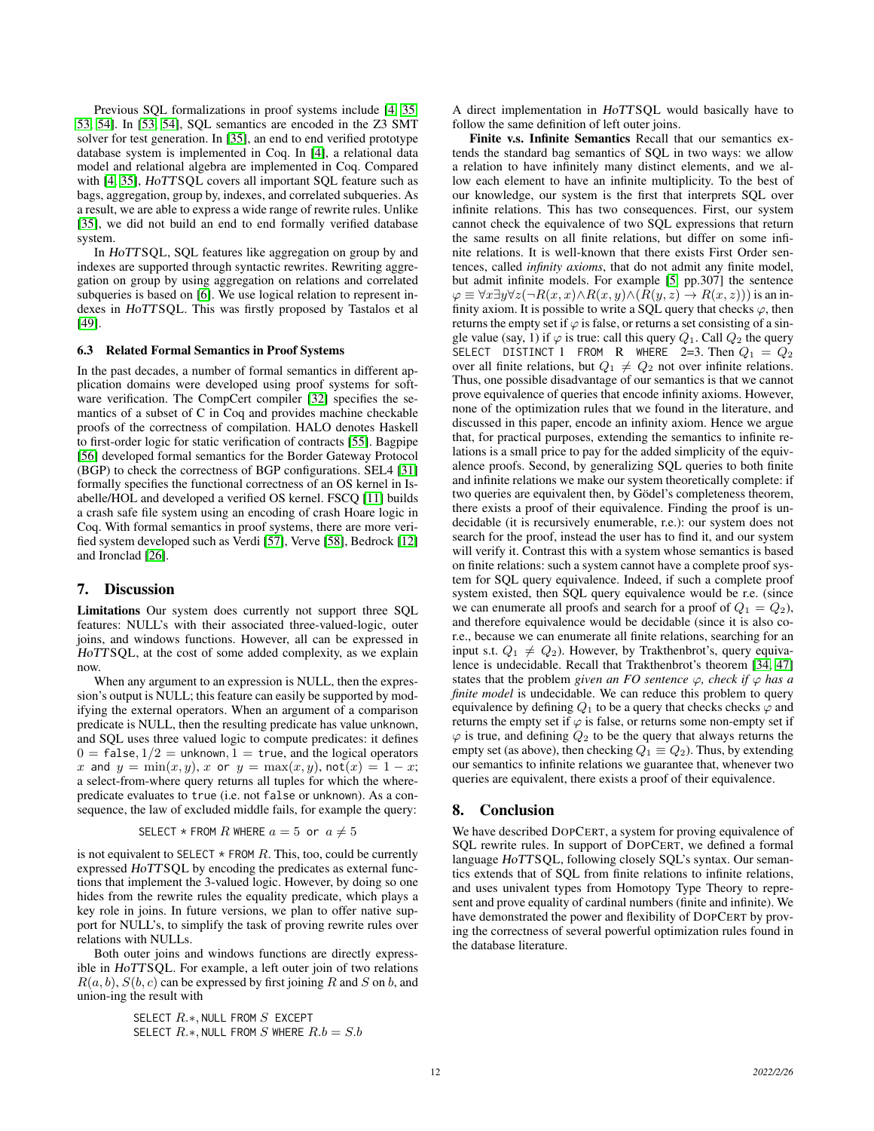Previous SQL formalizations in proof systems include [\[4,](#page-12-43) [35,](#page-12-12) [53,](#page-13-0) [54\]](#page-13-1). In [\[53,](#page-13-0) [54\]](#page-13-1), SQL semantics are encoded in the Z3 SMT solver for test generation. In [\[35\]](#page-12-12), an end to end verified prototype database system is implemented in Coq. In [\[4\]](#page-12-43), a relational data model and relational algebra are implemented in Coq. Compared with [\[4,](#page-12-43) [35\]](#page-12-12), HoTTSQL covers all important SQL feature such as bags, aggregation, group by, indexes, and correlated subqueries. As a result, we are able to express a wide range of rewrite rules. Unlike [\[35\]](#page-12-12), we did not build an end to end formally verified database system.

In HoTTSQL, SQL features like aggregation on group by and indexes are supported through syntactic rewrites. Rewriting aggregation on group by using aggregation on relations and correlated subqueries is based on [\[6\]](#page-12-14). We use logical relation to represent indexes in HoTTSQL. This was firstly proposed by Tastalos et al [\[49\]](#page-13-3).

#### 6.3 Related Formal Semantics in Proof Systems

In the past decades, a number of formal semantics in different application domains were developed using proof systems for software verification. The CompCert compiler [\[32\]](#page-12-9) specifies the semantics of a subset of C in Coq and provides machine checkable proofs of the correctness of compilation. HALO denotes Haskell to first-order logic for static verification of contracts [\[55\]](#page-13-6). Bagpipe [\[56\]](#page-13-7) developed formal semantics for the Border Gateway Protocol (BGP) to check the correctness of BGP configurations. SEL4 [\[31\]](#page-12-8) formally specifies the functional correctness of an OS kernel in Isabelle/HOL and developed a verified OS kernel. FSCQ [\[11\]](#page-12-7) builds a crash safe file system using an encoding of crash Hoare logic in Coq. With formal semantics in proof systems, there are more verified system developed such as Verdi [\[57\]](#page-13-8), Verve [\[58\]](#page-13-9), Bedrock [\[12\]](#page-12-44) and Ironclad [\[26\]](#page-12-45).

## <span id="page-11-0"></span>7. Discussion

Limitations Our system does currently not support three SQL features: NULL's with their associated three-valued-logic, outer joins, and windows functions. However, all can be expressed in HoTTSQL, at the cost of some added complexity, as we explain now.

When any argument to an expression is NULL, then the expression's output is NULL; this feature can easily be supported by modifying the external operators. When an argument of a comparison predicate is NULL, then the resulting predicate has value unknown, and SQL uses three valued logic to compute predicates: it defines  $0 = false, 1/2 = unknown, 1 = true, and the logical operators$ x and  $y = min(x, y)$ , x or  $y = max(x, y)$ , not $(x) = 1 - x$ ; a select-from-where query returns all tuples for which the wherepredicate evaluates to true (i.e. not false or unknown). As a consequence, the law of excluded middle fails, for example the query:

SELECT 
$$
\star
$$
 FROM  $R$  WHERE  $a = 5$  or  $a \neq 5$ 

is not equivalent to SELECT  $*$  FROM  $R$ . This, too, could be currently expressed HoTTSQL by encoding the predicates as external functions that implement the 3-valued logic. However, by doing so one hides from the rewrite rules the equality predicate, which plays a key role in joins. In future versions, we plan to offer native support for NULL's, to simplify the task of proving rewrite rules over relations with NULLs.

Both outer joins and windows functions are directly expressible in HoTTSQL. For example, a left outer join of two relations  $R(a, b), S(b, c)$  can be expressed by first joining R and S on b, and union-ing the result with

> SELECT  $R.*$ , NULL FROM  $S$  EXCEPT SELECT  $R.*$ , NULL FROM S WHERE  $R.b = S.b$

A direct implementation in HoTTSQL would basically have to follow the same definition of left outer joins.

Finite v.s. Infinite Semantics Recall that our semantics extends the standard bag semantics of SQL in two ways: we allow a relation to have infinitely many distinct elements, and we allow each element to have an infinite multiplicity. To the best of our knowledge, our system is the first that interprets SQL over infinite relations. This has two consequences. First, our system cannot check the equivalence of two SQL expressions that return the same results on all finite relations, but differ on some infinite relations. It is well-known that there exists First Order sentences, called *infinity axioms*, that do not admit any finite model, but admit infinite models. For example [\[5,](#page-12-46) pp.307] the sentence  $\varphi \equiv \forall x \exists y \forall z (\neg R(x, x) \land R(x, y) \land (R(y, z) \rightarrow R(x, z)))$  is an infinity axiom. It is possible to write a SQL query that checks  $\varphi$ , then returns the empty set if  $\varphi$  is false, or returns a set consisting of a single value (say, 1) if  $\varphi$  is true: call this query  $Q_1$ . Call  $Q_2$  the query SELECT DISTINCT 1 FROM R WHERE 2=3. Then  $Q_1 = Q_2$ over all finite relations, but  $Q_1 \neq Q_2$  not over infinite relations. Thus, one possible disadvantage of our semantics is that we cannot prove equivalence of queries that encode infinity axioms. However, none of the optimization rules that we found in the literature, and discussed in this paper, encode an infinity axiom. Hence we argue that, for practical purposes, extending the semantics to infinite relations is a small price to pay for the added simplicity of the equivalence proofs. Second, by generalizing SQL queries to both finite and infinite relations we make our system theoretically complete: if two queries are equivalent then, by Gödel's completeness theorem, there exists a proof of their equivalence. Finding the proof is undecidable (it is recursively enumerable, r.e.): our system does not search for the proof, instead the user has to find it, and our system will verify it. Contrast this with a system whose semantics is based on finite relations: such a system cannot have a complete proof system for SQL query equivalence. Indeed, if such a complete proof system existed, then SQL query equivalence would be r.e. (since we can enumerate all proofs and search for a proof of  $Q_1 = Q_2$ ), and therefore equivalence would be decidable (since it is also cor.e., because we can enumerate all finite relations, searching for an input s.t.  $Q_1 \neq Q_2$ ). However, by Trakthenbrot's, query equivalence is undecidable. Recall that Trakthenbrot's theorem [\[34,](#page-12-47) [47\]](#page-12-36) states that the problem *given an FO sentence*  $\varphi$ *, check if*  $\varphi$  *has a finite model* is undecidable. We can reduce this problem to query equivalence by defining  $Q_1$  to be a query that checks checks  $\varphi$  and returns the empty set if  $\varphi$  is false, or returns some non-empty set if  $\varphi$  is true, and defining  $Q_2$  to be the query that always returns the empty set (as above), then checking  $Q_1 \equiv Q_2$ ). Thus, by extending our semantics to infinite relations we guarantee that, whenever two queries are equivalent, there exists a proof of their equivalence.

## <span id="page-11-1"></span>8. Conclusion

We have described DOPCERT, a system for proving equivalence of SQL rewrite rules. In support of DOPCERT, we defined a formal language HoTTSQL, following closely SQL's syntax. Our semantics extends that of SQL from finite relations to infinite relations, and uses univalent types from Homotopy Type Theory to represent and prove equality of cardinal numbers (finite and infinite). We have demonstrated the power and flexibility of DOPCERT by proving the correctness of several powerful optimization rules found in the database literature.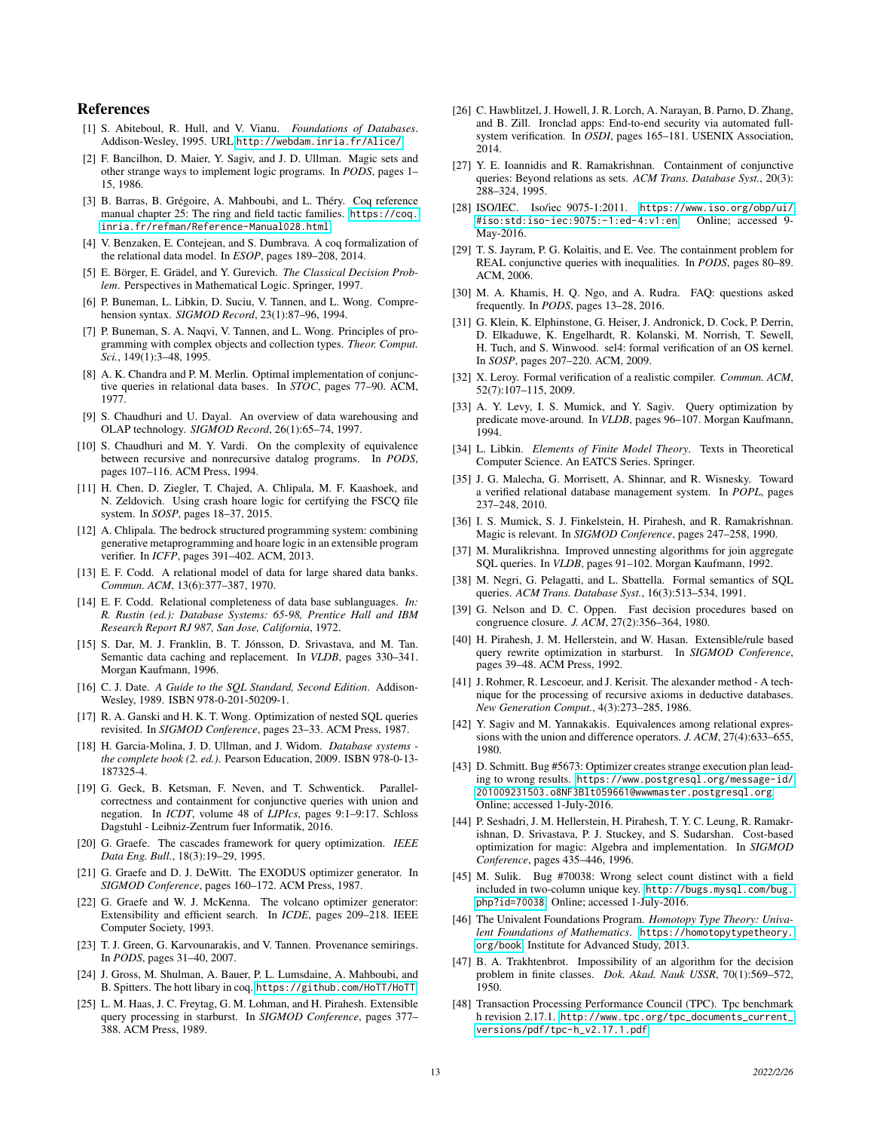## References

- <span id="page-12-13"></span>[1] S. Abiteboul, R. Hull, and V. Vianu. *Foundations of Databases*. Addison-Wesley, 1995. URL <http://webdam.inria.fr/Alice/>.
- <span id="page-12-23"></span>[2] F. Bancilhon, D. Maier, Y. Sagiv, and J. D. Ullman. Magic sets and other strange ways to implement logic programs. In *PODS*, pages 1– 15, 1986.
- <span id="page-12-26"></span>[3] B. Barras, B. Grégoire, A. Mahboubi, and L. Théry. Coq reference manual chapter 25: The ring and field tactic families. [https://coq.](https://coq.inria.fr/refman/Reference-Manual028.html) [inria.fr/refman/Reference-Manual028.html](https://coq.inria.fr/refman/Reference-Manual028.html).
- <span id="page-12-43"></span>[4] V. Benzaken, E. Contejean, and S. Dumbrava. A coq formalization of the relational data model. In *ESOP*, pages 189–208, 2014.
- <span id="page-12-46"></span>[5] E. Börger, E. Grädel, and Y. Gurevich. *The Classical Decision Problem*. Perspectives in Mathematical Logic. Springer, 1997.
- <span id="page-12-14"></span>[6] P. Buneman, L. Libkin, D. Suciu, V. Tannen, and L. Wong. Comprehension syntax. *SIGMOD Record*, 23(1):87–96, 1994.
- <span id="page-12-24"></span>[7] P. Buneman, S. A. Naqvi, V. Tannen, and L. Wong. Principles of programming with complex objects and collection types. *Theor. Comput. Sci.*, 149(1):3–48, 1995.
- <span id="page-12-16"></span>[8] A. K. Chandra and P. M. Merlin. Optimal implementation of conjunctive queries in relational data bases. In *STOC*, pages 77–90. ACM, 1977.
- <span id="page-12-21"></span>[9] S. Chaudhuri and U. Dayal. An overview of data warehousing and OLAP technology. *SIGMOD Record*, 26(1):65–74, 1997.
- <span id="page-12-33"></span>[10] S. Chaudhuri and M. Y. Vardi. On the complexity of equivalence between recursive and nonrecursive datalog programs. In *PODS*, pages 107–116. ACM Press, 1994.
- <span id="page-12-7"></span>[11] H. Chen, D. Ziegler, T. Chajed, A. Chlipala, M. F. Kaashoek, and N. Zeldovich. Using crash hoare logic for certifying the FSCQ file system. In *SOSP*, pages 18–37, 2015.
- <span id="page-12-44"></span>[12] A. Chlipala. The bedrock structured programming system: combining generative metaprogramming and hoare logic in an extensible program verifier. In *ICFP*, pages 391–402. ACM, 2013.
- <span id="page-12-25"></span>[13] E. F. Codd. A relational model of data for large shared data banks. *Commun. ACM*, 13(6):377–387, 1970.
- <span id="page-12-42"></span>[14] E. F. Codd. Relational completeness of data base sublanguages. *In: R. Rustin (ed.): Database Systems: 65-98, Prentice Hall and IBM Research Report RJ 987, San Jose, California*, 1972.
- <span id="page-12-28"></span>[15] S. Dar, M. J. Franklin, B. T. Jónsson, D. Srivastava, and M. Tan. Semantic data caching and replacement. In *VLDB*, pages 330–341. Morgan Kaufmann, 1996.
- <span id="page-12-11"></span>[16] C. J. Date. *A Guide to the SQL Standard, Second Edition*. Addison-Wesley, 1989. ISBN 978-0-201-50209-1.
- <span id="page-12-4"></span>[17] R. A. Ganski and H. K. T. Wong. Optimization of nested SQL queries revisited. In *SIGMOD Conference*, pages 23–33. ACM Press, 1987.
- <span id="page-12-29"></span>[18] H. Garcia-Molina, J. D. Ullman, and J. Widom. *Database systems the complete book (2. ed.)*. Pearson Education, 2009. ISBN 978-0-13- 187325-4.
- <span id="page-12-17"></span>[19] G. Geck, B. Ketsman, F. Neven, and T. Schwentick. Parallelcorrectness and containment for conjunctive queries with union and negation. In *ICDT*, volume 48 of *LIPIcs*, pages 9:1–9:17. Schloss Dagstuhl - Leibniz-Zentrum fuer Informatik, 2016.
- <span id="page-12-41"></span>[20] G. Graefe. The cascades framework for query optimization. *IEEE Data Eng. Bull.*, 18(3):19–29, 1995.
- <span id="page-12-39"></span>[21] G. Graefe and D. J. DeWitt. The EXODUS optimizer generator. In *SIGMOD Conference*, pages 160–172. ACM Press, 1987.
- <span id="page-12-40"></span>[22] G. Graefe and W. J. McKenna. The volcano optimizer generator: Extensibility and efficient search. In *ICDE*, pages 209–218. IEEE Computer Society, 1993.
- <span id="page-12-19"></span>[23] T. J. Green, G. Karvounarakis, and V. Tannen. Provenance semirings. In *PODS*, pages 31–40, 2007.
- <span id="page-12-30"></span>[24] J. Gross, M. Shulman, A. Bauer, P. L. Lumsdaine, A. Mahboubi, and B. Spitters. The hott libary in coq. <https://github.com/HoTT/HoTT>.
- <span id="page-12-37"></span>[25] L. M. Haas, J. C. Freytag, G. M. Lohman, and H. Pirahesh. Extensible query processing in starburst. In *SIGMOD Conference*, pages 377– 388. ACM Press, 1989.
- <span id="page-12-45"></span>[26] C. Hawblitzel, J. Howell, J. R. Lorch, A. Narayan, B. Parno, D. Zhang, and B. Zill. Ironclad apps: End-to-end security via automated fullsystem verification. In *OSDI*, pages 165–181. USENIX Association, 2014.
- <span id="page-12-34"></span>[27] Y. E. Ioannidis and R. Ramakrishnan. Containment of conjunctive queries: Beyond relations as sets. *ACM Trans. Database Syst.*, 20(3): 288–324, 1995.
- <span id="page-12-10"></span>[28] ISO/IEC. Iso/iec 9075-1:2011. [https://www.iso.org/obp/ui/](https://www.iso.org/obp/ui/#iso:std:iso-iec:9075:-1:ed-4:v1:en) [#iso:std:iso-iec:9075:-1:ed-4:v1:en](https://www.iso.org/obp/ui/#iso:std:iso-iec:9075:-1:ed-4:v1:en). Online; accessed 9- May-2016.
- <span id="page-12-35"></span>[29] T. S. Jayram, P. G. Kolaitis, and E. Vee. The containment problem for REAL conjunctive queries with inequalities. In *PODS*, pages 80–89. ACM, 2006.
- <span id="page-12-22"></span>[30] M. A. Khamis, H. Q. Ngo, and A. Rudra. FAQ: questions asked frequently. In *PODS*, pages 13–28, 2016.
- <span id="page-12-8"></span>[31] G. Klein, K. Elphinstone, G. Heiser, J. Andronick, D. Cock, P. Derrin, D. Elkaduwe, K. Engelhardt, R. Kolanski, M. Norrish, T. Sewell, H. Tuch, and S. Winwood. sel4: formal verification of an OS kernel. In *SOSP*, pages 207–220. ACM, 2009.
- <span id="page-12-9"></span>[32] X. Leroy. Formal verification of a realistic compiler. *Commun. ACM*, 52(7):107–115, 2009.
- <span id="page-12-0"></span>[33] A. Y. Levy, I. S. Mumick, and Y. Sagiv. Query optimization by predicate move-around. In *VLDB*, pages 96–107. Morgan Kaufmann, 1994.
- <span id="page-12-47"></span>[34] L. Libkin. *Elements of Finite Model Theory*. Texts in Theoretical Computer Science. An EATCS Series. Springer.
- <span id="page-12-12"></span>[35] J. G. Malecha, G. Morrisett, A. Shinnar, and R. Wisnesky. Toward a verified relational database management system. In *POPL*, pages 237–248, 2010.
- <span id="page-12-1"></span>[36] I. S. Mumick, S. J. Finkelstein, H. Pirahesh, and R. Ramakrishnan. Magic is relevant. In *SIGMOD Conference*, pages 247–258, 1990.
- <span id="page-12-2"></span>[37] M. Muralikrishna. Improved unnesting algorithms for join aggregate SQL queries. In *VLDB*, pages 91–102. Morgan Kaufmann, 1992.
- <span id="page-12-15"></span>[38] M. Negri, G. Pelagatti, and L. Sbattella. Formal semantics of SQL queries. *ACM Trans. Database Syst.*, 16(3):513–534, 1991.
- <span id="page-12-27"></span>[39] G. Nelson and D. C. Oppen. Fast decision procedures based on congruence closure. *J. ACM*, 27(2):356–364, 1980.
- <span id="page-12-38"></span>[40] H. Pirahesh, J. M. Hellerstein, and W. Hasan. Extensible/rule based query rewrite optimization in starburst. In *SIGMOD Conference*, pages 39–48. ACM Press, 1992.
- <span id="page-12-32"></span>[41] J. Rohmer, R. Lescoeur, and J. Kerisit. The alexander method - A technique for the processing of recursive axioms in deductive databases. *New Generation Comput.*, 4(3):273–285, 1986.
- <span id="page-12-18"></span>[42] Y. Sagiv and M. Yannakakis. Equivalences among relational expressions with the union and difference operators. *J. ACM*, 27(4):633–655, 1980.
- <span id="page-12-5"></span>[43] D. Schmitt. Bug #5673: Optimizer creates strange execution plan leading to wrong results. [https://www.postgresql.org/message-id/](https://www.postgresql.org/message-id/201009231503.o8NF3Blt059661@wwwmaster.postgresql.org) [201009231503.o8NF3Blt059661@wwwmaster.postgresql.org](https://www.postgresql.org/message-id/201009231503.o8NF3Blt059661@wwwmaster.postgresql.org). Online; accessed 1-July-2016.
- <span id="page-12-3"></span>[44] P. Seshadri, J. M. Hellerstein, H. Pirahesh, T. Y. C. Leung, R. Ramakrishnan, D. Srivastava, P. J. Stuckey, and S. Sudarshan. Cost-based optimization for magic: Algebra and implementation. In *SIGMOD Conference*, pages 435–446, 1996.
- <span id="page-12-6"></span>[45] M. Sulik. Bug #70038: Wrong select count distinct with a field included in two-column unique key. [http://bugs.mysql.com/bug.](http://bugs.mysql.com/bug.php?id=70038) [php?id=70038](http://bugs.mysql.com/bug.php?id=70038). Online; accessed 1-July-2016.
- <span id="page-12-20"></span>[46] The Univalent Foundations Program. *Homotopy Type Theory: Univalent Foundations of Mathematics*. [https://homotopytypetheory.](https://homotopytypetheory.org/book) [org/book](https://homotopytypetheory.org/book), Institute for Advanced Study, 2013.
- <span id="page-12-36"></span>[47] B. A. Trakhtenbrot. Impossibility of an algorithm for the decision problem in finite classes. *Dok. Akad. Nauk USSR*, 70(1):569–572, 1950.
- <span id="page-12-31"></span>[48] Transaction Processing Performance Council (TPC). Tpc benchmark h revision 2.17.1. [http://www.tpc.org/tpc\\_documents\\_current\\_](http://www.tpc.org/tpc_documents_current_versions/pdf/tpc-h_v2.17.1.pdf) [versions/pdf/tpc-h\\_v2.17.1.pdf](http://www.tpc.org/tpc_documents_current_versions/pdf/tpc-h_v2.17.1.pdf).